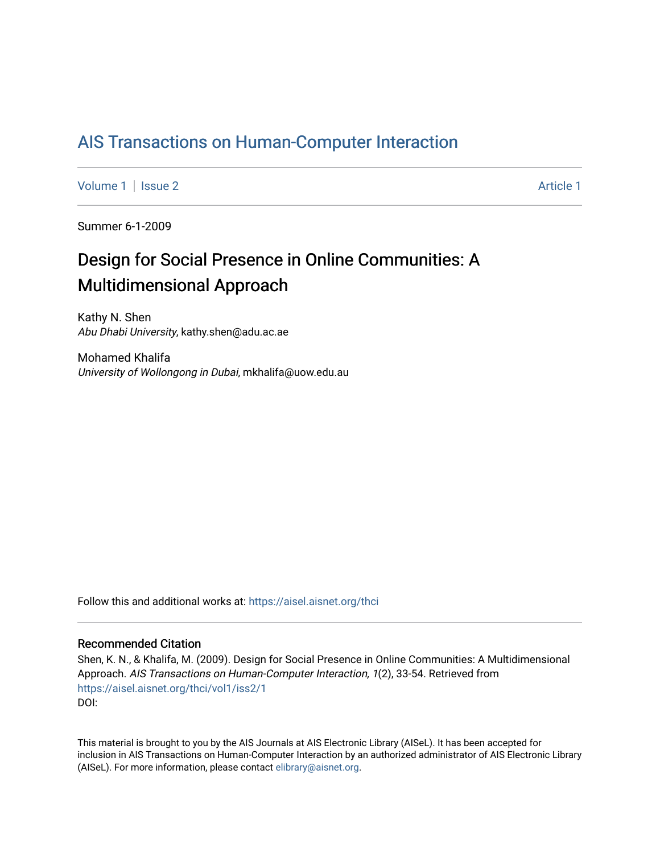## [AIS Transactions on Human-Computer Interaction](https://aisel.aisnet.org/thci)

[Volume 1](https://aisel.aisnet.org/thci/vol1) | [Issue 2](https://aisel.aisnet.org/thci/vol1/iss2) Article 1

Summer 6-1-2009

# Design for Social Presence in Online Communities: A Multidimensional Approach

Kathy N. Shen Abu Dhabi University, kathy.shen@adu.ac.ae

Mohamed Khalifa University of Wollongong in Dubai, mkhalifa@uow.edu.au

Follow this and additional works at: [https://aisel.aisnet.org/thci](https://aisel.aisnet.org/thci?utm_source=aisel.aisnet.org%2Fthci%2Fvol1%2Fiss2%2F1&utm_medium=PDF&utm_campaign=PDFCoverPages) 

#### Recommended Citation

Shen, K. N., & Khalifa, M. (2009). Design for Social Presence in Online Communities: A Multidimensional Approach. AIS Transactions on Human-Computer Interaction, 1(2), 33-54. Retrieved from [https://aisel.aisnet.org/thci/vol1/iss2/1](https://aisel.aisnet.org/thci/vol1/iss2/1?utm_source=aisel.aisnet.org%2Fthci%2Fvol1%2Fiss2%2F1&utm_medium=PDF&utm_campaign=PDFCoverPages)  DOI:

This material is brought to you by the AIS Journals at AIS Electronic Library (AISeL). It has been accepted for inclusion in AIS Transactions on Human-Computer Interaction by an authorized administrator of AIS Electronic Library (AISeL). For more information, please contact [elibrary@aisnet.org](mailto:elibrary@aisnet.org%3E).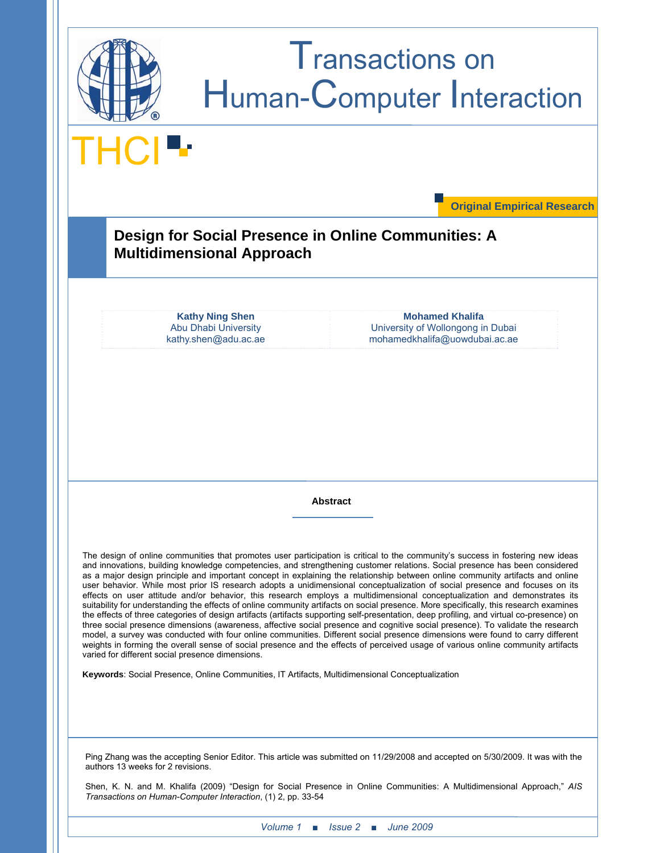

*Volume 1 ■ Issue 2 ■ June 2009*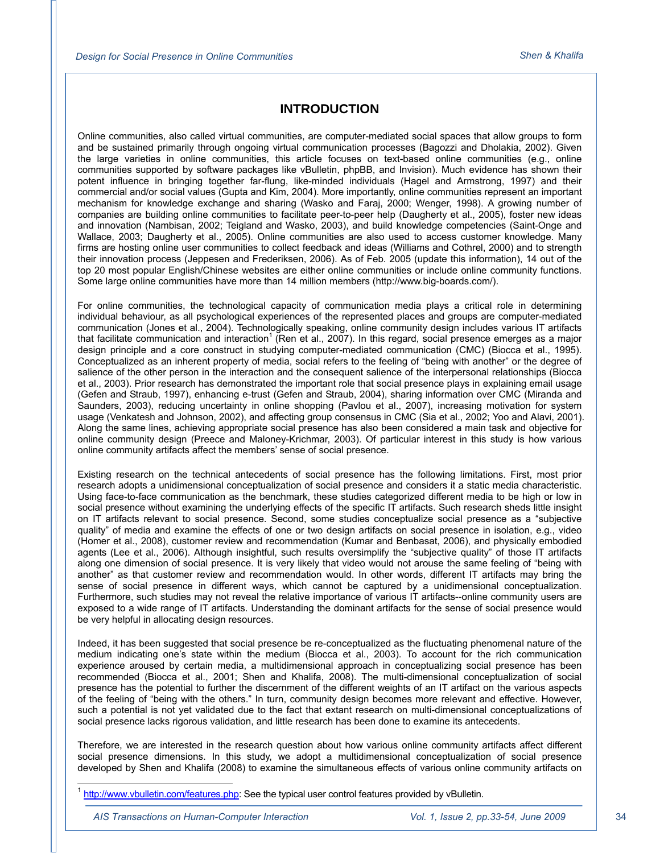## **INTRODUCTION**

Online communities, also called virtual communities, are computer-mediated social spaces that allow groups to form and be sustained primarily through ongoing virtual communication processes (Bagozzi and Dholakia, 2002). Given the large varieties in online communities, this article focuses on text-based online communities (e.g., online communities supported by software packages like vBulletin, phpBB, and Invision). Much evidence has shown their potent influence in bringing together far-flung, like-minded individuals (Hagel and Armstrong, 1997) and their commercial and/or social values (Gupta and Kim, 2004). More importantly, online communities represent an important mechanism for knowledge exchange and sharing (Wasko and Faraj, 2000; Wenger, 1998). A growing number of companies are building online communities to facilitate peer-to-peer help (Daugherty et al., 2005), foster new ideas and innovation (Nambisan, 2002; Teigland and Wasko, 2003), and build knowledge competencies (Saint-Onge and Wallace, 2003; Daugherty et al., 2005). Online communities are also used to access customer knowledge. Many firms are hosting online user communities to collect feedback and ideas (Williams and Cothrel, 2000) and to strength their innovation process (Jeppesen and Frederiksen, 2006). As of Feb. 2005 (update this information), 14 out of the top 20 most popular English/Chinese websites are either online communities or include online community functions. Some large online communities have more than 14 million members (http://www.big-boards.com/).

For online communities, the technological capacity of communication media plays a critical role in determining individual behaviour, as all psychological experiences of the represented places and groups are computer-mediated communication (Jones et al., 2004). Technologically speaking, online community design includes various IT artifacts that facilitate communication and interaction<sup>1</sup> (Ren et al., 2007). In this regard, social presence emerges as a major design principle and a core construct in studying computer-mediated communication (CMC) (Biocca et al., 1995). Conceptualized as an inherent property of media, social refers to the feeling of "being with another" or the degree of salience of the other person in the interaction and the consequent salience of the interpersonal relationships (Biocca et al., 2003). Prior research has demonstrated the important role that social presence plays in explaining email usage (Gefen and Straub, 1997), enhancing e-trust (Gefen and Straub, 2004), sharing information over CMC (Miranda and Saunders, 2003), reducing uncertainty in online shopping (Pavlou et al., 2007), increasing motivation for system usage (Venkatesh and Johnson, 2002), and affecting group consensus in CMC (Sia et al., 2002; Yoo and Alavi, 2001). Along the same lines, achieving appropriate social presence has also been considered a main task and objective for online community design (Preece and Maloney-Krichmar, 2003). Of particular interest in this study is how various online community artifacts affect the members' sense of social presence.

Existing research on the technical antecedents of social presence has the following limitations. First, most prior research adopts a unidimensional conceptualization of social presence and considers it a static media characteristic. Using face-to-face communication as the benchmark, these studies categorized different media to be high or low in social presence without examining the underlying effects of the specific IT artifacts. Such research sheds little insight on IT artifacts relevant to social presence. Second, some studies conceptualize social presence as a "subjective quality" of media and examine the effects of one or two design artifacts on social presence in isolation, e.g., video (Homer et al., 2008), customer review and recommendation (Kumar and Benbasat, 2006), and physically embodied agents (Lee et al., 2006). Although insightful, such results oversimplify the "subjective quality" of those IT artifacts along one dimension of social presence. It is very likely that video would not arouse the same feeling of "being with another" as that customer review and recommendation would. In other words, different IT artifacts may bring the sense of social presence in different ways, which cannot be captured by a unidimensional conceptualization. Furthermore, such studies may not reveal the relative importance of various IT artifacts--online community users are exposed to a wide range of IT artifacts. Understanding the dominant artifacts for the sense of social presence would be very helpful in allocating design resources.

Indeed, it has been suggested that social presence be re-conceptualized as the fluctuating phenomenal nature of the medium indicating one's state within the medium (Biocca et al., 2003). To account for the rich communication experience aroused by certain media, a multidimensional approach in conceptualizing social presence has been recommended (Biocca et al., 2001; Shen and Khalifa, 2008). The multi-dimensional conceptualization of social presence has the potential to further the discernment of the different weights of an IT artifact on the various aspects of the feeling of "being with the others." In turn, community design becomes more relevant and effective. However, such a potential is not yet validated due to the fact that extant research on multi-dimensional conceptualizations of social presence lacks rigorous validation, and little research has been done to examine its antecedents.

Therefore, we are interested in the research question about how various online community artifacts affect different social presence dimensions. In this study, we adopt a multidimensional conceptualization of social presence developed by Shen and Khalifa (2008) to examine the simultaneous effects of various online community artifacts on

<sup>1</sup> http://www.vbulletin.com/features.php: See the typical user control features provided by vBulletin.

 $\overline{a}$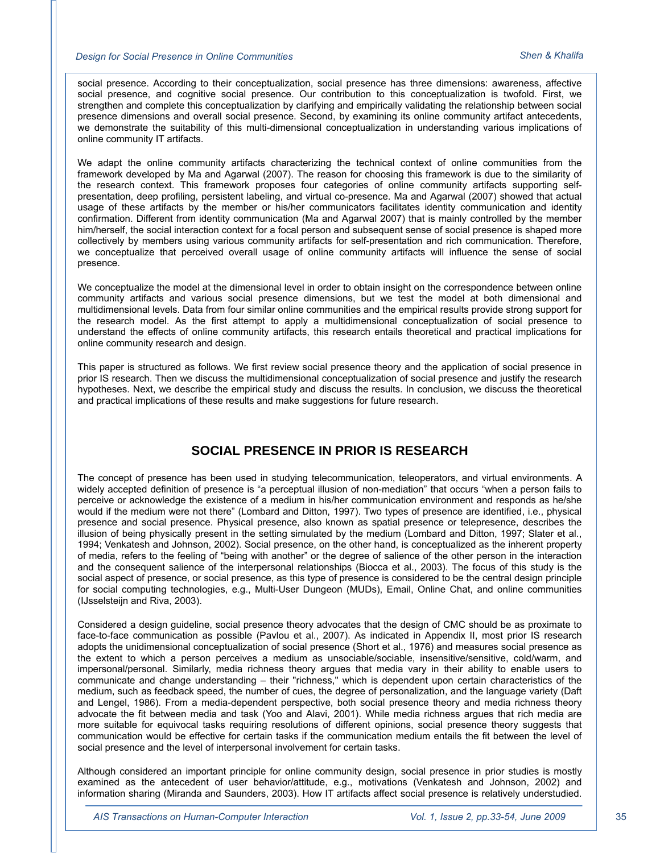social presence. According to their conceptualization, social presence has three dimensions: awareness, affective social presence, and cognitive social presence. Our contribution to this conceptualization is twofold. First, we strengthen and complete this conceptualization by clarifying and empirically validating the relationship between social presence dimensions and overall social presence. Second, by examining its online community artifact antecedents, we demonstrate the suitability of this multi-dimensional conceptualization in understanding various implications of online community IT artifacts.

We adapt the online community artifacts characterizing the technical context of online communities from the framework developed by Ma and Agarwal (2007). The reason for choosing this framework is due to the similarity of the research context. This framework proposes four categories of online community artifacts supporting selfpresentation, deep profiling, persistent labeling, and virtual co-presence. Ma and Agarwal (2007) showed that actual usage of these artifacts by the member or his/her communicators facilitates identity communication and identity confirmation. Different from identity communication (Ma and Agarwal 2007) that is mainly controlled by the member him/herself, the social interaction context for a focal person and subsequent sense of social presence is shaped more collectively by members using various community artifacts for self-presentation and rich communication. Therefore, we conceptualize that perceived overall usage of online community artifacts will influence the sense of social presence.

We conceptualize the model at the dimensional level in order to obtain insight on the correspondence between online community artifacts and various social presence dimensions, but we test the model at both dimensional and multidimensional levels. Data from four similar online communities and the empirical results provide strong support for the research model. As the first attempt to apply a multidimensional conceptualization of social presence to understand the effects of online community artifacts, this research entails theoretical and practical implications for online community research and design.

This paper is structured as follows. We first review social presence theory and the application of social presence in prior IS research. Then we discuss the multidimensional conceptualization of social presence and justify the research hypotheses. Next, we describe the empirical study and discuss the results. In conclusion, we discuss the theoretical and practical implications of these results and make suggestions for future research.

## **SOCIAL PRESENCE IN PRIOR IS RESEARCH**

The concept of presence has been used in studying telecommunication, teleoperators, and virtual environments. A widely accepted definition of presence is "a perceptual illusion of non-mediation" that occurs "when a person fails to perceive or acknowledge the existence of a medium in his/her communication environment and responds as he/she would if the medium were not there" (Lombard and Ditton, 1997). Two types of presence are identified, i.e., physical presence and social presence. Physical presence, also known as spatial presence or telepresence, describes the illusion of being physically present in the setting simulated by the medium (Lombard and Ditton, 1997; Slater et al., 1994; Venkatesh and Johnson, 2002). Social presence, on the other hand, is conceptualized as the inherent property of media, refers to the feeling of "being with another" or the degree of salience of the other person in the interaction and the consequent salience of the interpersonal relationships (Biocca et al., 2003). The focus of this study is the social aspect of presence, or social presence, as this type of presence is considered to be the central design principle for social computing technologies, e.g., Multi-User Dungeon (MUDs), Email, Online Chat, and online communities (IJsselsteijn and Riva, 2003).

Considered a design guideline, social presence theory advocates that the design of CMC should be as proximate to face-to-face communication as possible (Pavlou et al., 2007). As indicated in Appendix II, most prior IS research adopts the unidimensional conceptualization of social presence (Short et al., 1976) and measures social presence as the extent to which a person perceives a medium as unsociable/sociable, insensitive/sensitive, cold/warm, and impersonal/personal. Similarly, media richness theory argues that media vary in their ability to enable users to communicate and change understanding – their "richness," which is dependent upon certain characteristics of the medium, such as feedback speed, the number of cues, the degree of personalization, and the language variety (Daft and Lengel, 1986). From a media-dependent perspective, both social presence theory and media richness theory advocate the fit between media and task (Yoo and Alavi, 2001). While media richness argues that rich media are more suitable for equivocal tasks requiring resolutions of different opinions, social presence theory suggests that communication would be effective for certain tasks if the communication medium entails the fit between the level of social presence and the level of interpersonal involvement for certain tasks.

Although considered an important principle for online community design, social presence in prior studies is mostly examined as the antecedent of user behavior/attitude, e.g., motivations (Venkatesh and Johnson, 2002) and information sharing (Miranda and Saunders, 2003). How IT artifacts affect social presence is relatively understudied.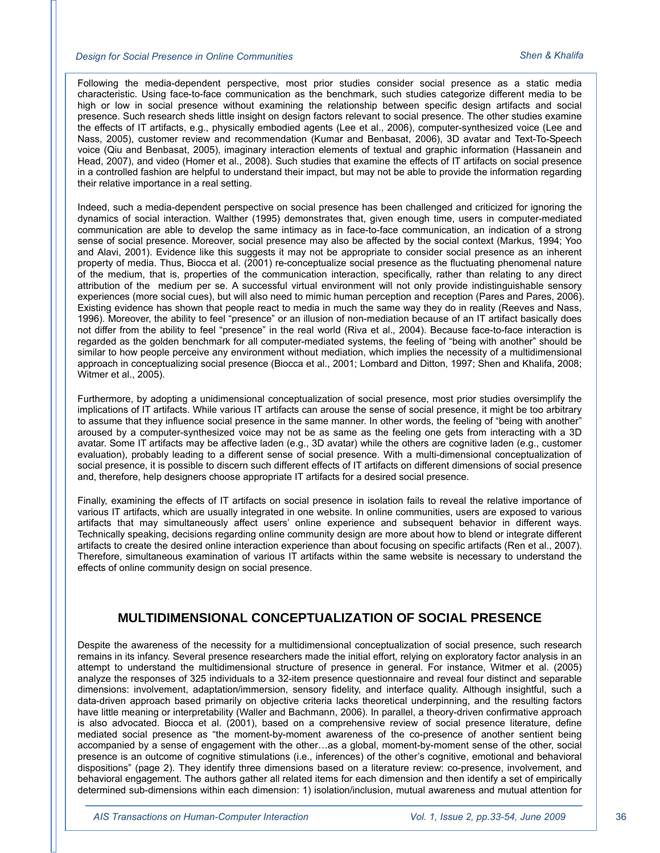Following the media-dependent perspective, most prior studies consider social presence as a static media characteristic. Using face-to-face communication as the benchmark, such studies categorize different media to be high or low in social presence without examining the relationship between specific design artifacts and social presence. Such research sheds little insight on design factors relevant to social presence. The other studies examine the effects of IT artifacts, e.g., physically embodied agents (Lee et al., 2006), computer-synthesized voice (Lee and Nass, 2005), customer review and recommendation (Kumar and Benbasat, 2006), 3D avatar and Text-To-Speech voice (Qiu and Benbasat, 2005), imaginary interaction elements of textual and graphic information (Hassanein and Head, 2007), and video (Homer et al., 2008). Such studies that examine the effects of IT artifacts on social presence in a controlled fashion are helpful to understand their impact, but may not be able to provide the information regarding their relative importance in a real setting.

Indeed, such a media-dependent perspective on social presence has been challenged and criticized for ignoring the dynamics of social interaction. Walther (1995) demonstrates that, given enough time, users in computer-mediated communication are able to develop the same intimacy as in face-to-face communication, an indication of a strong sense of social presence. Moreover, social presence may also be affected by the social context (Markus, 1994; Yoo and Alavi, 2001). Evidence like this suggests it may not be appropriate to consider social presence as an inherent property of media. Thus, Biocca et al. (2001) re-conceptualize social presence as the fluctuating phenomenal nature of the medium, that is, properties of the communication interaction, specifically, rather than relating to any direct attribution of the medium per se. A successful virtual environment will not only provide indistinguishable sensory experiences (more social cues), but will also need to mimic human perception and reception (Pares and Pares, 2006). Existing evidence has shown that people react to media in much the same way they do in reality (Reeves and Nass, 1996). Moreover, the ability to feel "presence" or an illusion of non-mediation because of an IT artifact basically does not differ from the ability to feel "presence" in the real world (Riva et al., 2004). Because face-to-face interaction is regarded as the golden benchmark for all computer-mediated systems, the feeling of "being with another" should be similar to how people perceive any environment without mediation, which implies the necessity of a multidimensional approach in conceptualizing social presence (Biocca et al., 2001; Lombard and Ditton, 1997; Shen and Khalifa, 2008; Witmer et al., 2005).

Furthermore, by adopting a unidimensional conceptualization of social presence, most prior studies oversimplify the implications of IT artifacts. While various IT artifacts can arouse the sense of social presence, it might be too arbitrary to assume that they influence social presence in the same manner. In other words, the feeling of "being with another" aroused by a computer-synthesized voice may not be as same as the feeling one gets from interacting with a 3D avatar. Some IT artifacts may be affective laden (e.g., 3D avatar) while the others are cognitive laden (e.g., customer evaluation), probably leading to a different sense of social presence. With a multi-dimensional conceptualization of social presence, it is possible to discern such different effects of IT artifacts on different dimensions of social presence and, therefore, help designers choose appropriate IT artifacts for a desired social presence.

Finally, examining the effects of IT artifacts on social presence in isolation fails to reveal the relative importance of various IT artifacts, which are usually integrated in one website. In online communities, users are exposed to various artifacts that may simultaneously affect users' online experience and subsequent behavior in different ways. Technically speaking, decisions regarding online community design are more about how to blend or integrate different artifacts to create the desired online interaction experience than about focusing on specific artifacts (Ren et al., 2007). Therefore, simultaneous examination of various IT artifacts within the same website is necessary to understand the effects of online community design on social presence.

#### **MULTIDIMENSIONAL CONCEPTUALIZATION OF SOCIAL PRESENCE**

Despite the awareness of the necessity for a multidimensional conceptualization of social presence, such research remains in its infancy. Several presence researchers made the initial effort, relying on exploratory factor analysis in an attempt to understand the multidimensional structure of presence in general. For instance, Witmer et al. (2005) analyze the responses of 325 individuals to a 32-item presence questionnaire and reveal four distinct and separable dimensions: involvement, adaptation/immersion, sensory fidelity, and interface quality. Although insightful, such a data-driven approach based primarily on objective criteria lacks theoretical underpinning, and the resulting factors have little meaning or interpretability (Waller and Bachmann, 2006). In parallel, a theory-driven confirmative approach is also advocated. Biocca et al. (2001), based on a comprehensive review of social presence literature, define mediated social presence as "the moment-by-moment awareness of the co-presence of another sentient being accompanied by a sense of engagement with the other…as a global, moment-by-moment sense of the other, social presence is an outcome of cognitive stimulations (i.e., inferences) of the other's cognitive, emotional and behavioral dispositions" (page 2). They identify three dimensions based on a literature review: co-presence, involvement, and behavioral engagement. The authors gather all related items for each dimension and then identify a set of empirically determined sub-dimensions within each dimension: 1) isolation/inclusion, mutual awareness and mutual attention for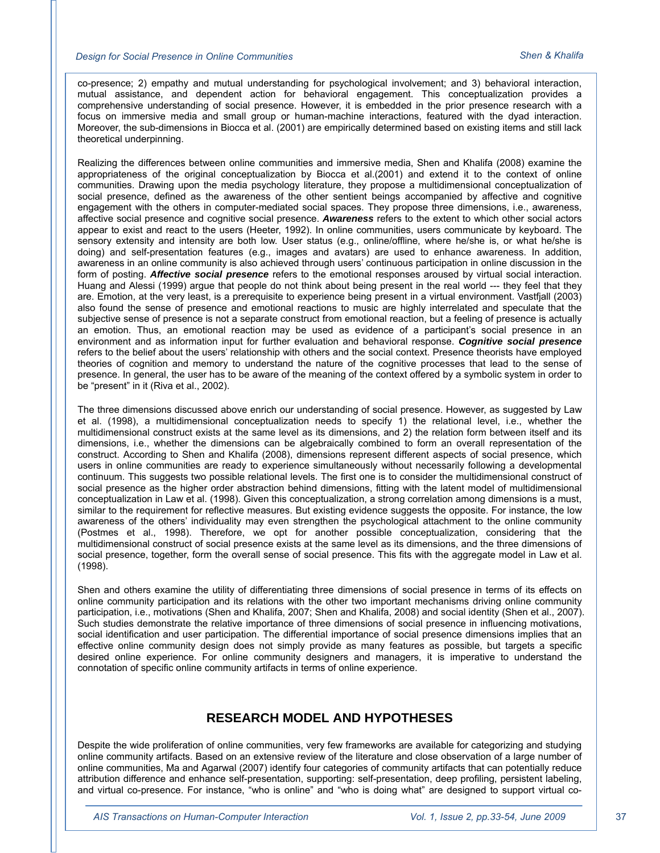co-presence; 2) empathy and mutual understanding for psychological involvement; and 3) behavioral interaction, mutual assistance, and dependent action for behavioral engagement. This conceptualization provides a comprehensive understanding of social presence. However, it is embedded in the prior presence research with a focus on immersive media and small group or human-machine interactions, featured with the dyad interaction. Moreover, the sub-dimensions in Biocca et al. (2001) are empirically determined based on existing items and still lack theoretical underpinning.

Realizing the differences between online communities and immersive media, Shen and Khalifa (2008) examine the appropriateness of the original conceptualization by Biocca et al.(2001) and extend it to the context of online communities. Drawing upon the media psychology literature, they propose a multidimensional conceptualization of social presence, defined as the awareness of the other sentient beings accompanied by affective and cognitive engagement with the others in computer-mediated social spaces. They propose three dimensions, i.e., awareness, affective social presence and cognitive social presence. *Awareness* refers to the extent to which other social actors appear to exist and react to the users (Heeter, 1992). In online communities, users communicate by keyboard. The sensory extensity and intensity are both low. User status (e.g., online/offline, where he/she is, or what he/she is doing) and self-presentation features (e.g., images and avatars) are used to enhance awareness. In addition, awareness in an online community is also achieved through users' continuous participation in online discussion in the form of posting. *Affective social presence* refers to the emotional responses aroused by virtual social interaction. Huang and Alessi (1999) argue that people do not think about being present in the real world --- they feel that they are. Emotion, at the very least, is a prerequisite to experience being present in a virtual environment. Vastfjall (2003) also found the sense of presence and emotional reactions to music are highly interrelated and speculate that the subjective sense of presence is not a separate construct from emotional reaction, but a feeling of presence is actually an emotion. Thus, an emotional reaction may be used as evidence of a participant's social presence in an environment and as information input for further evaluation and behavioral response. *Cognitive social presence* refers to the belief about the users' relationship with others and the social context. Presence theorists have employed theories of cognition and memory to understand the nature of the cognitive processes that lead to the sense of presence. In general, the user has to be aware of the meaning of the context offered by a symbolic system in order to be "present" in it (Riva et al., 2002).

The three dimensions discussed above enrich our understanding of social presence. However, as suggested by Law et al. (1998), a multidimensional conceptualization needs to specify 1) the relational level, i.e., whether the multidimensional construct exists at the same level as its dimensions, and 2) the relation form between itself and its dimensions, i.e., whether the dimensions can be algebraically combined to form an overall representation of the construct. According to Shen and Khalifa (2008), dimensions represent different aspects of social presence, which users in online communities are ready to experience simultaneously without necessarily following a developmental continuum. This suggests two possible relational levels. The first one is to consider the multidimensional construct of social presence as the higher order abstraction behind dimensions, fitting with the latent model of multidimensional conceptualization in Law et al. (1998). Given this conceptualization, a strong correlation among dimensions is a must, similar to the requirement for reflective measures. But existing evidence suggests the opposite. For instance, the low awareness of the others' individuality may even strengthen the psychological attachment to the online community (Postmes et al., 1998). Therefore, we opt for another possible conceptualization, considering that the multidimensional construct of social presence exists at the same level as its dimensions, and the three dimensions of social presence, together, form the overall sense of social presence. This fits with the aggregate model in Law et al. (1998).

Shen and others examine the utility of differentiating three dimensions of social presence in terms of its effects on online community participation and its relations with the other two important mechanisms driving online community participation, i.e., motivations (Shen and Khalifa, 2007; Shen and Khalifa, 2008) and social identity (Shen et al., 2007). Such studies demonstrate the relative importance of three dimensions of social presence in influencing motivations, social identification and user participation. The differential importance of social presence dimensions implies that an effective online community design does not simply provide as many features as possible, but targets a specific desired online experience. For online community designers and managers, it is imperative to understand the connotation of specific online community artifacts in terms of online experience.

## **RESEARCH MODEL AND HYPOTHESES**

Despite the wide proliferation of online communities, very few frameworks are available for categorizing and studying online community artifacts. Based on an extensive review of the literature and close observation of a large number of online communities, Ma and Agarwal (2007) identify four categories of community artifacts that can potentially reduce attribution difference and enhance self-presentation, supporting: self-presentation, deep profiling, persistent labeling, and virtual co-presence. For instance, "who is online" and "who is doing what" are designed to support virtual co-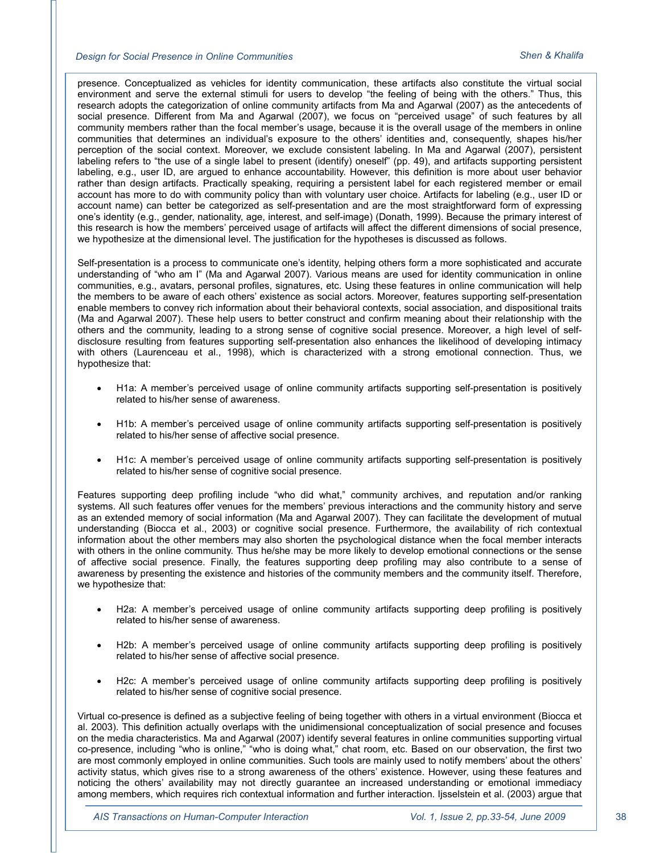#### *Design for Social Presence in Online Communities Shen & Khalifa*

presence. Conceptualized as vehicles for identity communication, these artifacts also constitute the virtual social environment and serve the external stimuli for users to develop "the feeling of being with the others." Thus, this research adopts the categorization of online community artifacts from Ma and Agarwal (2007) as the antecedents of social presence. Different from Ma and Agarwal (2007), we focus on "perceived usage" of such features by all community members rather than the focal member's usage, because it is the overall usage of the members in online communities that determines an individual's exposure to the others' identities and, consequently, shapes his/her perception of the social context. Moreover, we exclude consistent labeling. In Ma and Agarwal (2007), persistent labeling refers to "the use of a single label to present (identify) oneself" (pp. 49), and artifacts supporting persistent labeling, e.g., user ID, are argued to enhance accountability. However, this definition is more about user behavior rather than design artifacts. Practically speaking, requiring a persistent label for each registered member or email account has more to do with community policy than with voluntary user choice. Artifacts for labeling (e.g., user ID or account name) can better be categorized as self-presentation and are the most straightforward form of expressing one's identity (e.g., gender, nationality, age, interest, and self-image) (Donath, 1999). Because the primary interest of this research is how the members' perceived usage of artifacts will affect the different dimensions of social presence, we hypothesize at the dimensional level. The justification for the hypotheses is discussed as follows.

Self-presentation is a process to communicate one's identity, helping others form a more sophisticated and accurate understanding of "who am I" (Ma and Agarwal 2007). Various means are used for identity communication in online communities, e.g., avatars, personal profiles, signatures, etc. Using these features in online communication will help the members to be aware of each others' existence as social actors. Moreover, features supporting self-presentation enable members to convey rich information about their behavioral contexts, social association, and dispositional traits (Ma and Agarwal 2007). These help users to better construct and confirm meaning about their relationship with the others and the community, leading to a strong sense of cognitive social presence. Moreover, a high level of selfdisclosure resulting from features supporting self-presentation also enhances the likelihood of developing intimacy with others (Laurenceau et al., 1998), which is characterized with a strong emotional connection. Thus, we hypothesize that:

- H1a: A member's perceived usage of online community artifacts supporting self-presentation is positively related to his/her sense of awareness.
- H1b: A member's perceived usage of online community artifacts supporting self-presentation is positively related to his/her sense of affective social presence.
- H1c: A member's perceived usage of online community artifacts supporting self-presentation is positively related to his/her sense of cognitive social presence.

Features supporting deep profiling include "who did what," community archives, and reputation and/or ranking systems. All such features offer venues for the members' previous interactions and the community history and serve as an extended memory of social information (Ma and Agarwal 2007). They can facilitate the development of mutual understanding (Biocca et al., 2003) or cognitive social presence. Furthermore, the availability of rich contextual information about the other members may also shorten the psychological distance when the focal member interacts with others in the online community. Thus he/she may be more likely to develop emotional connections or the sense of affective social presence. Finally, the features supporting deep profiling may also contribute to a sense of awareness by presenting the existence and histories of the community members and the community itself. Therefore, we hypothesize that:

- H2a: A member's perceived usage of online community artifacts supporting deep profiling is positively related to his/her sense of awareness.
- H2b: A member's perceived usage of online community artifacts supporting deep profiling is positively related to his/her sense of affective social presence.
- H2c: A member's perceived usage of online community artifacts supporting deep profiling is positively related to his/her sense of cognitive social presence.

Virtual co-presence is defined as a subjective feeling of being together with others in a virtual environment (Biocca et al. 2003). This definition actually overlaps with the unidimensional conceptualization of social presence and focuses on the media characteristics. Ma and Agarwal (2007) identify several features in online communities supporting virtual co-presence, including "who is online," "who is doing what," chat room, etc. Based on our observation, the first two are most commonly employed in online communities. Such tools are mainly used to notify members' about the others' activity status, which gives rise to a strong awareness of the others' existence. However, using these features and noticing the others' availability may not directly guarantee an increased understanding or emotional immediacy among members, which requires rich contextual information and further interaction. Ijsselstein et al. (2003) argue that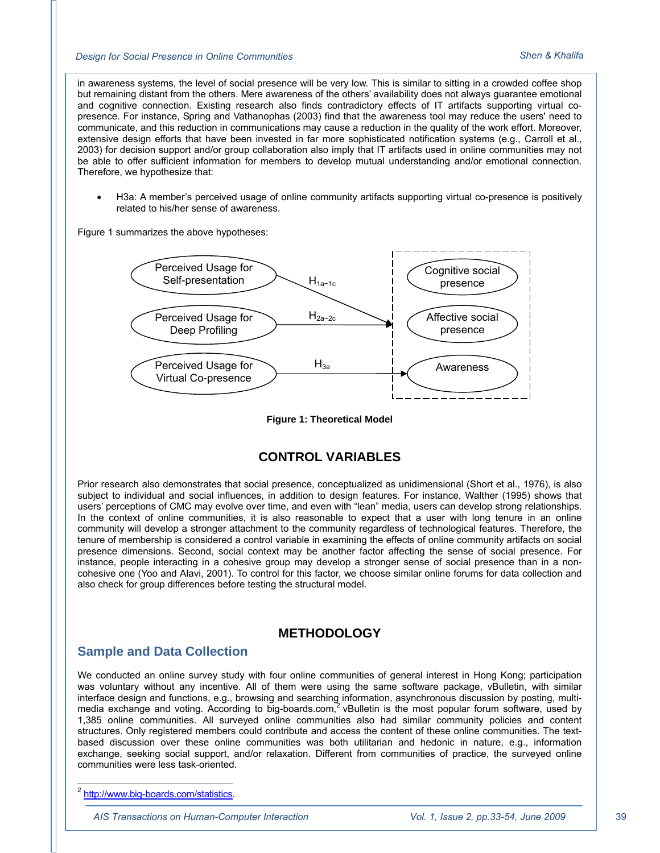#### *Design for Social Presence in Online Communities Shen & Khalifa*

in awareness systems, the level of social presence will be very low. This is similar to sitting in a crowded coffee shop but remaining distant from the others. Mere awareness of the others' availability does not always guarantee emotional and cognitive connection. Existing research also finds contradictory effects of IT artifacts supporting virtual copresence. For instance, Spring and Vathanophas (2003) find that the awareness tool may reduce the users' need to communicate, and this reduction in communications may cause a reduction in the quality of the work effort. Moreover, extensive design efforts that have been invested in far more sophisticated notification systems (e.g., Carroll et al., 2003) for decision support and/or group collaboration also imply that IT artifacts used in online communities may not be able to offer sufficient information for members to develop mutual understanding and/or emotional connection. Therefore, we hypothesize that:

 H3a: A member's perceived usage of online community artifacts supporting virtual co-presence is positively related to his/her sense of awareness.

Figure 1 summarizes the above hypotheses:



**Figure 1: Theoretical Model** 

## **CONTROL VARIABLES**

Prior research also demonstrates that social presence, conceptualized as unidimensional (Short et al., 1976), is also subject to individual and social influences, in addition to design features. For instance, Walther (1995) shows that users' perceptions of CMC may evolve over time, and even with "lean" media, users can develop strong relationships. In the context of online communities, it is also reasonable to expect that a user with long tenure in an online community will develop a stronger attachment to the community regardless of technological features. Therefore, the tenure of membership is considered a control variable in examining the effects of online community artifacts on social presence dimensions. Second, social context may be another factor affecting the sense of social presence. For instance, people interacting in a cohesive group may develop a stronger sense of social presence than in a noncohesive one (Yoo and Alavi, 2001). To control for this factor, we choose similar online forums for data collection and also check for group differences before testing the structural model.

## **METHODOLOGY**

#### **Sample and Data Collection**

We conducted an online survey study with four online communities of general interest in Hong Kong; participation was voluntary without any incentive. All of them were using the same software package, vBulletin, with similar interface design and functions, e.g., browsing and searching information, asynchronous discussion by posting, multimedia exchange and voting. According to big-boards.com,<sup>2</sup> vBulletin is the most popular forum software, used by 1,385 online communities. All surveyed online communities also had similar community policies and content structures. Only registered members could contribute and access the content of these online communities. The textbased discussion over these online communities was both utilitarian and hedonic in nature, e.g., information exchange, seeking social support, and/or relaxation. Different from communities of practice, the surveyed online communities were less task-oriented.

*AIS Transactions on Human-Computer Interaction Vol. 1, Issue 2, pp.33-54, June 2009*

<sup>-</sup><sup>2</sup> http://www.big-boards.com/statistics.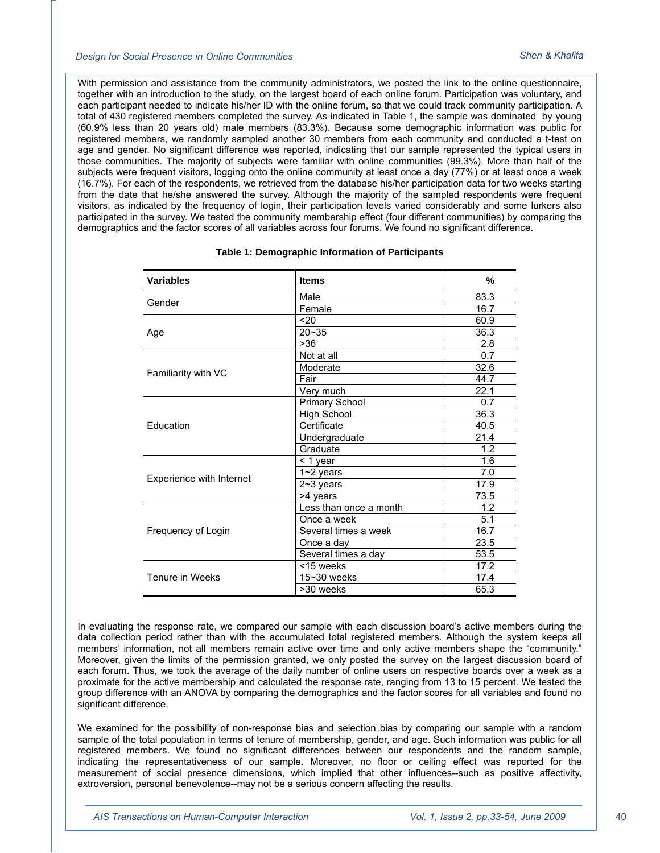With permission and assistance from the community administrators, we posted the link to the online questionnaire, together with an introduction to the study, on the largest board of each online forum. Participation was voluntary, and each participant needed to indicate his/her ID with the online forum, so that we could track community participation. A total of 430 registered members completed the survey. As indicated in Table 1, the sample was dominated by young (60.9% less than 20 years old) male members (83.3%). Because some demographic information was public for registered members, we randomly sampled another 30 members from each community and conducted a t-test on age and gender. No significant difference was reported, indicating that our sample represented the typical users in those communities. The majority of subjects were familiar with online communities (99.3%). More than half of the subjects were frequent visitors, logging onto the online community at least once a day (77%) or at least once a week (16.7%). For each of the respondents, we retrieved from the database his/her participation data for two weeks starting from the date that he/she answered the survey. Although the majority of the sampled respondents were frequent visitors, as indicated by the frequency of login, their participation levels varied considerably and some lurkers also participated in the survey. We tested the community membership effect (four different communities) by comparing the demographics and the factor scores of all variables across four forums. We found no significant difference.

| <b>Variables</b>         | <b>Items</b>           | $\frac{9}{6}$ |
|--------------------------|------------------------|---------------|
| Gender                   | Male                   | 83.3          |
|                          | Female                 | 16.7          |
|                          | 20                     | 60.9          |
| Age                      | $20 - 35$              | 36.3          |
|                          | >36                    | 2.8           |
|                          | Not at all             | 0.7           |
| Familiarity with VC      | Moderate               | 32.6          |
|                          | Fair                   | 44.7          |
|                          | Very much              | 22.1          |
|                          | <b>Primary School</b>  | 0.7           |
|                          | <b>High School</b>     | 36.3          |
| Education                | Certificate            | 40.5          |
|                          | Undergraduate          | 21.4          |
|                          | Graduate               | 1.2           |
|                          | < 1 year               | 1.6           |
| Experience with Internet | $1 - 2$ years          | 7.0           |
|                          | $2~3$ years            | 17.9          |
|                          | >4 years               | 73.5          |
|                          | Less than once a month | 1.2           |
|                          | Once a week            | 5.1           |
| Frequency of Login       | Several times a week   | 16.7          |
|                          | Once a day             | 23.5          |
|                          | Several times a day    | 53.5          |
|                          | <15 weeks              | 17.2          |
| Tenure in Weeks          | $15 - 30$ weeks        | 17.4          |
|                          | >30 weeks              | 65.3          |

#### **Table 1: Demographic Information of Participants**

In evaluating the response rate, we compared our sample with each discussion board's active members during the data collection period rather than with the accumulated total registered members. Although the system keeps all members' information, not all members remain active over time and only active members shape the "community." Moreover, given the limits of the permission granted, we only posted the survey on the largest discussion board of each forum. Thus, we took the average of the daily number of online users on respective boards over a week as a proximate for the active membership and calculated the response rate, ranging from 13 to 15 percent. We tested the group difference with an ANOVA by comparing the demographics and the factor scores for all variables and found no significant difference.

We examined for the possibility of non-response bias and selection bias by comparing our sample with a random sample of the total population in terms of tenure of membership, gender, and age. Such information was public for all registered members. We found no significant differences between our respondents and the random sample, indicating the representativeness of our sample. Moreover, no floor or ceiling effect was reported for the measurement of social presence dimensions, which implied that other influences--such as positive affectivity, extroversion, personal benevolence--may not be a serious concern affecting the results.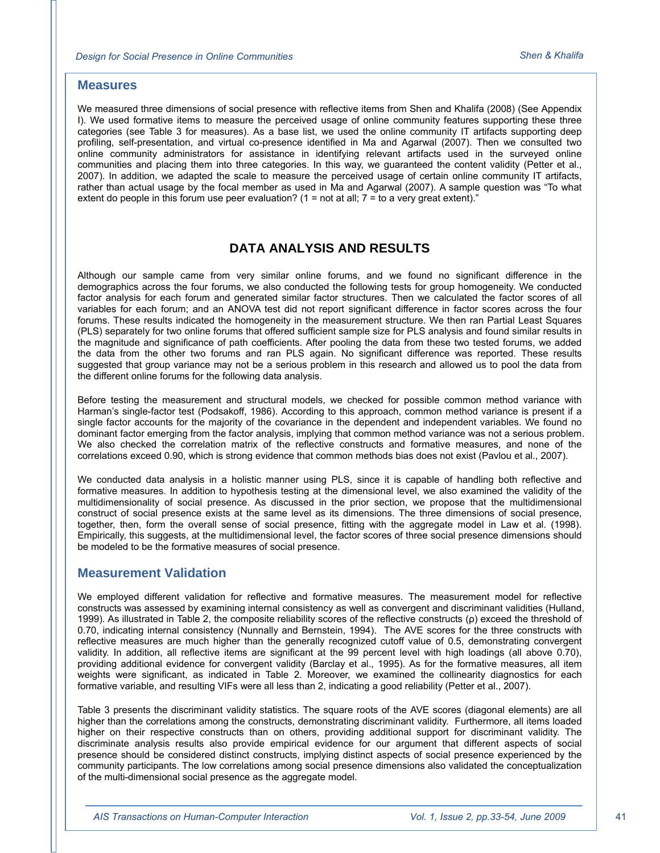#### **Measures**

We measured three dimensions of social presence with reflective items from Shen and Khalifa (2008) (See Appendix I). We used formative items to measure the perceived usage of online community features supporting these three categories (see Table 3 for measures). As a base list, we used the online community IT artifacts supporting deep profiling, self-presentation, and virtual co-presence identified in Ma and Agarwal (2007). Then we consulted two online community administrators for assistance in identifying relevant artifacts used in the surveyed online communities and placing them into three categories. In this way, we guaranteed the content validity (Petter et al., 2007). In addition, we adapted the scale to measure the perceived usage of certain online community IT artifacts, rather than actual usage by the focal member as used in Ma and Agarwal (2007). A sample question was "To what extent do people in this forum use peer evaluation?  $(1 = not at all; 7 = to a very great extent).$ 

## **DATA ANALYSIS AND RESULTS**

Although our sample came from very similar online forums, and we found no significant difference in the demographics across the four forums, we also conducted the following tests for group homogeneity. We conducted factor analysis for each forum and generated similar factor structures. Then we calculated the factor scores of all variables for each forum; and an ANOVA test did not report significant difference in factor scores across the four forums. These results indicated the homogeneity in the measurement structure. We then ran Partial Least Squares (PLS) separately for two online forums that offered sufficient sample size for PLS analysis and found similar results in the magnitude and significance of path coefficients. After pooling the data from these two tested forums, we added the data from the other two forums and ran PLS again. No significant difference was reported. These results suggested that group variance may not be a serious problem in this research and allowed us to pool the data from the different online forums for the following data analysis.

Before testing the measurement and structural models, we checked for possible common method variance with Harman's single-factor test (Podsakoff, 1986). According to this approach, common method variance is present if a single factor accounts for the majority of the covariance in the dependent and independent variables. We found no dominant factor emerging from the factor analysis, implying that common method variance was not a serious problem. We also checked the correlation matrix of the reflective constructs and formative measures, and none of the correlations exceed 0.90, which is strong evidence that common methods bias does not exist (Pavlou et al., 2007).

We conducted data analysis in a holistic manner using PLS, since it is capable of handling both reflective and formative measures. In addition to hypothesis testing at the dimensional level, we also examined the validity of the multidimensionality of social presence. As discussed in the prior section, we propose that the multidimensional construct of social presence exists at the same level as its dimensions. The three dimensions of social presence, together, then, form the overall sense of social presence, fitting with the aggregate model in Law et al. (1998). Empirically, this suggests, at the multidimensional level, the factor scores of three social presence dimensions should be modeled to be the formative measures of social presence.

#### **Measurement Validation**

We employed different validation for reflective and formative measures. The measurement model for reflective constructs was assessed by examining internal consistency as well as convergent and discriminant validities (Hulland, 1999). As illustrated in Table 2, the composite reliability scores of the reflective constructs (ρ) exceed the threshold of 0.70, indicating internal consistency (Nunnally and Bernstein, 1994). The AVE scores for the three constructs with reflective measures are much higher than the generally recognized cutoff value of 0.5, demonstrating convergent validity. In addition, all reflective items are significant at the 99 percent level with high loadings (all above 0.70), providing additional evidence for convergent validity (Barclay et al., 1995). As for the formative measures, all item weights were significant, as indicated in Table 2. Moreover, we examined the collinearity diagnostics for each formative variable, and resulting VIFs were all less than 2, indicating a good reliability (Petter et al., 2007).

Table 3 presents the discriminant validity statistics. The square roots of the AVE scores (diagonal elements) are all higher than the correlations among the constructs, demonstrating discriminant validity. Furthermore, all items loaded higher on their respective constructs than on others, providing additional support for discriminant validity. The discriminate analysis results also provide empirical evidence for our argument that different aspects of social presence should be considered distinct constructs, implying distinct aspects of social presence experienced by the community participants. The low correlations among social presence dimensions also validated the conceptualization of the multi-dimensional social presence as the aggregate model.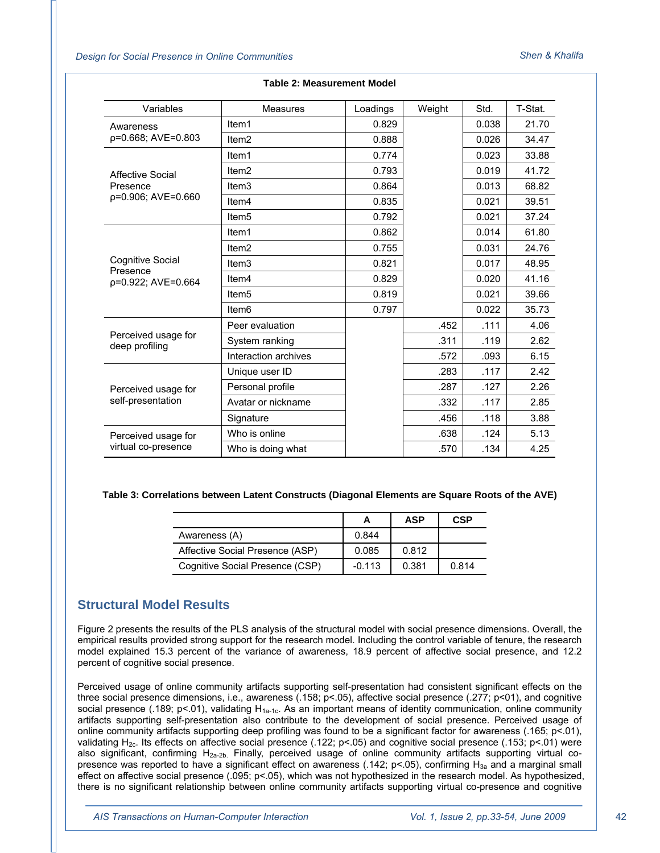*Design for Social Presence in Online Communities Shen & Khalifa*

| Variables                                  | <b>Measures</b>      |          |        | Std.  | T-Stat. |
|--------------------------------------------|----------------------|----------|--------|-------|---------|
|                                            |                      | Loadings | Weight |       |         |
| Awareness                                  | Item1                | 0.829    |        | 0.038 | 21.70   |
| p=0.668; AVE=0.803                         | Item <sub>2</sub>    | 0.888    |        | 0.026 | 34.47   |
|                                            | Item1                | 0.774    |        | 0.023 | 33.88   |
| Affective Social                           | Item <sub>2</sub>    | 0.793    |        | 0.019 | 41.72   |
| Presence                                   | Item <sub>3</sub>    | 0.864    |        | 0.013 | 68.82   |
| p=0.906; AVE=0.660                         | Item <sub>4</sub>    | 0.835    |        | 0.021 | 39.51   |
|                                            | Item <sub>5</sub>    | 0.792    |        | 0.021 | 37.24   |
|                                            | Item1                | 0.862    |        | 0.014 | 61.80   |
|                                            | Item <sub>2</sub>    | 0.755    |        | 0.031 | 24.76   |
| Cognitive Social<br>Presence               | Item <sub>3</sub>    | 0.821    |        | 0.017 | 48.95   |
| p=0.922; AVE=0.664                         | Item <sub>4</sub>    | 0.829    |        | 0.020 | 41.16   |
|                                            | Item <sub>5</sub>    | 0.819    |        | 0.021 | 39.66   |
|                                            | Item <sub>6</sub>    | 0.797    |        | 0.022 | 35.73   |
|                                            | Peer evaluation      |          | .452   | .111  | 4.06    |
| Perceived usage for<br>deep profiling      | System ranking       |          | .311   | .119  | 2.62    |
|                                            | Interaction archives |          | .572   | .093  | 6.15    |
| Perceived usage for<br>self-presentation   | Unique user ID       |          | .283   | .117  | 2.42    |
|                                            | Personal profile     |          | .287   | .127  | 2.26    |
|                                            | Avatar or nickname   |          | .332   | .117  | 2.85    |
|                                            | Signature            |          | .456   | .118  | 3.88    |
| Perceived usage for<br>virtual co-presence | Who is online        |          | .638   | .124  | 5.13    |
|                                            | Who is doing what    |          | .570   | .134  | 4.25    |

#### **Table 2: Measurement Model**

#### **Table 3: Correlations between Latent Constructs (Diagonal Elements are Square Roots of the AVE)**

|                                 |          | ASP   | <b>CSP</b> |
|---------------------------------|----------|-------|------------|
| Awareness (A)                   | 0.844    |       |            |
| Affective Social Presence (ASP) | 0.085    | 0.812 |            |
| Cognitive Social Presence (CSP) | $-0.113$ | 0.381 | 0.814      |

#### **Structural Model Results**

Figure 2 presents the results of the PLS analysis of the structural model with social presence dimensions. Overall, the empirical results provided strong support for the research model. Including the control variable of tenure, the research model explained 15.3 percent of the variance of awareness, 18.9 percent of affective social presence, and 12.2 percent of cognitive social presence.

Perceived usage of online community artifacts supporting self-presentation had consistent significant effects on the three social presence dimensions, i.e., awareness (.158; p<.05), affective social presence (.277; p<01), and cognitive social presence (.189; p<.01), validating  $H_{1a-1c}$ . As an important means of identity communication, online community artifacts supporting self-presentation also contribute to the development of social presence. Perceived usage of online community artifacts supporting deep profiling was found to be a significant factor for awareness (.165; p<.01), validating  $H_{2c}$ . Its effects on affective social presence (.122; p<.05) and cognitive social presence (.153; p<.01) were also significant, confirming  $H_{2a-2b}$ . Finally, perceived usage of online community artifacts supporting virtual copresence was reported to have a significant effect on awareness (.142;  $p$ <.05), confirming  $H_{3a}$  and a marginal small effect on affective social presence (.095; p<.05), which was not hypothesized in the research model. As hypothesized, there is no significant relationship between online community artifacts supporting virtual co-presence and cognitive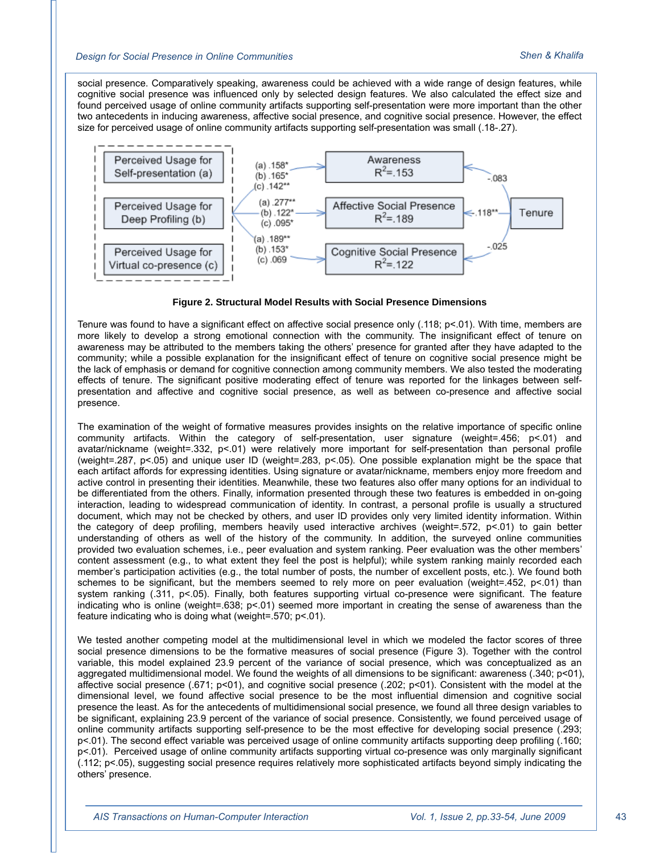social presence. Comparatively speaking, awareness could be achieved with a wide range of design features, while cognitive social presence was influenced only by selected design features. We also calculated the effect size and found perceived usage of online community artifacts supporting self-presentation were more important than the other two antecedents in inducing awareness, affective social presence, and cognitive social presence. However, the effect size for perceived usage of online community artifacts supporting self-presentation was small (.18-.27).



**Figure 2. Structural Model Results with Social Presence Dimensions** 

Tenure was found to have a significant effect on affective social presence only (.118; p<.01). With time, members are more likely to develop a strong emotional connection with the community. The insignificant effect of tenure on awareness may be attributed to the members taking the others' presence for granted after they have adapted to the community; while a possible explanation for the insignificant effect of tenure on cognitive social presence might be the lack of emphasis or demand for cognitive connection among community members. We also tested the moderating effects of tenure. The significant positive moderating effect of tenure was reported for the linkages between selfpresentation and affective and cognitive social presence, as well as between co-presence and affective social presence.

The examination of the weight of formative measures provides insights on the relative importance of specific online community artifacts. Within the category of self-presentation, user signature (weight=.456; p<.01) and avatar/nickname (weight=.332, p<.01) were relatively more important for self-presentation than personal profile (weight=.287, p<.05) and unique user ID (weight=.283, p<.05). One possible explanation might be the space that each artifact affords for expressing identities. Using signature or avatar/nickname, members enjoy more freedom and active control in presenting their identities. Meanwhile, these two features also offer many options for an individual to be differentiated from the others. Finally, information presented through these two features is embedded in on-going interaction, leading to widespread communication of identity. In contrast, a personal profile is usually a structured document, which may not be checked by others, and user ID provides only very limited identity information. Within the category of deep profiling, members heavily used interactive archives (weight=.572, p<.01) to gain better understanding of others as well of the history of the community. In addition, the surveyed online communities provided two evaluation schemes, i.e., peer evaluation and system ranking. Peer evaluation was the other members' content assessment (e.g., to what extent they feel the post is helpful); while system ranking mainly recorded each member's participation activities (e.g., the total number of posts, the number of excellent posts, etc.). We found both schemes to be significant, but the members seemed to rely more on peer evaluation (weight=.452, p<.01) than system ranking (.311, p<.05). Finally, both features supporting virtual co-presence were significant. The feature indicating who is online (weight=.638; p<.01) seemed more important in creating the sense of awareness than the feature indicating who is doing what (weight=.570; p<.01).

We tested another competing model at the multidimensional level in which we modeled the factor scores of three social presence dimensions to be the formative measures of social presence (Figure 3). Together with the control variable, this model explained 23.9 percent of the variance of social presence, which was conceptualized as an aggregated multidimensional model. We found the weights of all dimensions to be significant: awareness (.340; p<01), affective social presence (.671; p<01), and cognitive social presence (.202; p<01). Consistent with the model at the dimensional level, we found affective social presence to be the most influential dimension and cognitive social presence the least. As for the antecedents of multidimensional social presence, we found all three design variables to be significant, explaining 23.9 percent of the variance of social presence. Consistently, we found perceived usage of online community artifacts supporting self-presence to be the most effective for developing social presence (.293; p<.01). The second effect variable was perceived usage of online community artifacts supporting deep profiling (.160; p<.01). Perceived usage of online community artifacts supporting virtual co-presence was only marginally significant (.112; p<.05), suggesting social presence requires relatively more sophisticated artifacts beyond simply indicating the others' presence.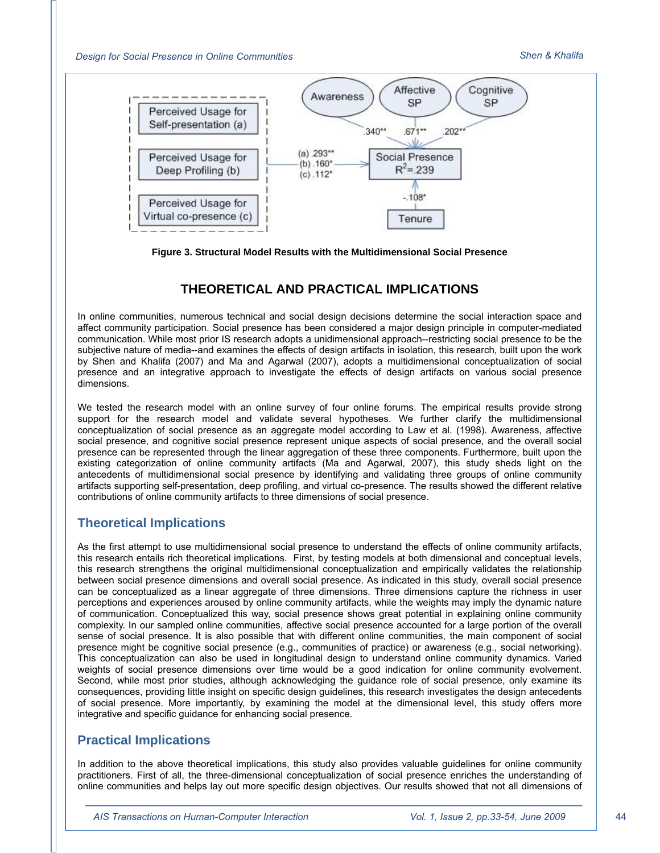*Design for Social Presence in Online Communities Shen & Khalifa*



**Figure 3. Structural Model Results with the Multidimensional Social Presence** 

## **THEORETICAL AND PRACTICAL IMPLICATIONS**

In online communities, numerous technical and social design decisions determine the social interaction space and affect community participation. Social presence has been considered a major design principle in computer-mediated communication. While most prior IS research adopts a unidimensional approach--restricting social presence to be the subjective nature of media--and examines the effects of design artifacts in isolation, this research, built upon the work by Shen and Khalifa (2007) and Ma and Agarwal (2007), adopts a multidimensional conceptualization of social presence and an integrative approach to investigate the effects of design artifacts on various social presence dimensions.

We tested the research model with an online survey of four online forums. The empirical results provide strong support for the research model and validate several hypotheses. We further clarify the multidimensional conceptualization of social presence as an aggregate model according to Law et al. (1998). Awareness, affective social presence, and cognitive social presence represent unique aspects of social presence, and the overall social presence can be represented through the linear aggregation of these three components. Furthermore, built upon the existing categorization of online community artifacts (Ma and Agarwal, 2007), this study sheds light on the antecedents of multidimensional social presence by identifying and validating three groups of online community artifacts supporting self-presentation, deep profiling, and virtual co-presence. The results showed the different relative contributions of online community artifacts to three dimensions of social presence.

## **Theoretical Implications**

As the first attempt to use multidimensional social presence to understand the effects of online community artifacts, this research entails rich theoretical implications. First, by testing models at both dimensional and conceptual levels, this research strengthens the original multidimensional conceptualization and empirically validates the relationship between social presence dimensions and overall social presence. As indicated in this study, overall social presence can be conceptualized as a linear aggregate of three dimensions. Three dimensions capture the richness in user perceptions and experiences aroused by online community artifacts, while the weights may imply the dynamic nature of communication. Conceptualized this way, social presence shows great potential in explaining online community complexity. In our sampled online communities, affective social presence accounted for a large portion of the overall sense of social presence. It is also possible that with different online communities, the main component of social presence might be cognitive social presence (e.g., communities of practice) or awareness (e.g., social networking). This conceptualization can also be used in longitudinal design to understand online community dynamics. Varied weights of social presence dimensions over time would be a good indication for online community evolvement. Second, while most prior studies, although acknowledging the guidance role of social presence, only examine its consequences, providing little insight on specific design guidelines, this research investigates the design antecedents of social presence. More importantly, by examining the model at the dimensional level, this study offers more integrative and specific guidance for enhancing social presence.

## **Practical Implications**

In addition to the above theoretical implications, this study also provides valuable guidelines for online community practitioners. First of all, the three-dimensional conceptualization of social presence enriches the understanding of online communities and helps lay out more specific design objectives. Our results showed that not all dimensions of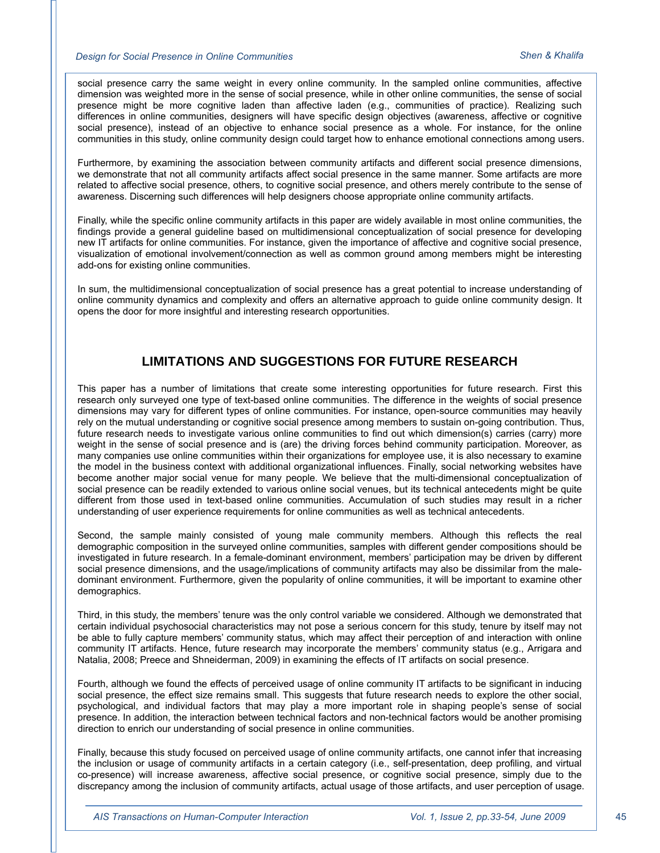social presence carry the same weight in every online community. In the sampled online communities, affective dimension was weighted more in the sense of social presence, while in other online communities, the sense of social presence might be more cognitive laden than affective laden (e.g., communities of practice). Realizing such differences in online communities, designers will have specific design objectives (awareness, affective or cognitive social presence), instead of an objective to enhance social presence as a whole. For instance, for the online communities in this study, online community design could target how to enhance emotional connections among users.

Furthermore, by examining the association between community artifacts and different social presence dimensions, we demonstrate that not all community artifacts affect social presence in the same manner. Some artifacts are more related to affective social presence, others, to cognitive social presence, and others merely contribute to the sense of awareness. Discerning such differences will help designers choose appropriate online community artifacts.

Finally, while the specific online community artifacts in this paper are widely available in most online communities, the findings provide a general guideline based on multidimensional conceptualization of social presence for developing new IT artifacts for online communities. For instance, given the importance of affective and cognitive social presence, visualization of emotional involvement/connection as well as common ground among members might be interesting add-ons for existing online communities.

In sum, the multidimensional conceptualization of social presence has a great potential to increase understanding of online community dynamics and complexity and offers an alternative approach to guide online community design. It opens the door for more insightful and interesting research opportunities.

## **LIMITATIONS AND SUGGESTIONS FOR FUTURE RESEARCH**

This paper has a number of limitations that create some interesting opportunities for future research. First this research only surveyed one type of text-based online communities. The difference in the weights of social presence dimensions may vary for different types of online communities. For instance, open-source communities may heavily rely on the mutual understanding or cognitive social presence among members to sustain on-going contribution. Thus, future research needs to investigate various online communities to find out which dimension(s) carries (carry) more weight in the sense of social presence and is (are) the driving forces behind community participation. Moreover, as many companies use online communities within their organizations for employee use, it is also necessary to examine the model in the business context with additional organizational influences. Finally, social networking websites have become another major social venue for many people. We believe that the multi-dimensional conceptualization of social presence can be readily extended to various online social venues, but its technical antecedents might be quite different from those used in text-based online communities. Accumulation of such studies may result in a richer understanding of user experience requirements for online communities as well as technical antecedents.

Second, the sample mainly consisted of young male community members. Although this reflects the real demographic composition in the surveyed online communities, samples with different gender compositions should be investigated in future research. In a female-dominant environment, members' participation may be driven by different social presence dimensions, and the usage/implications of community artifacts may also be dissimilar from the maledominant environment. Furthermore, given the popularity of online communities, it will be important to examine other demographics.

Third, in this study, the members' tenure was the only control variable we considered. Although we demonstrated that certain individual psychosocial characteristics may not pose a serious concern for this study, tenure by itself may not be able to fully capture members' community status, which may affect their perception of and interaction with online community IT artifacts. Hence, future research may incorporate the members' community status (e.g., Arrigara and Natalia, 2008; Preece and Shneiderman, 2009) in examining the effects of IT artifacts on social presence.

Fourth, although we found the effects of perceived usage of online community IT artifacts to be significant in inducing social presence, the effect size remains small. This suggests that future research needs to explore the other social, psychological, and individual factors that may play a more important role in shaping people's sense of social presence. In addition, the interaction between technical factors and non-technical factors would be another promising direction to enrich our understanding of social presence in online communities.

Finally, because this study focused on perceived usage of online community artifacts, one cannot infer that increasing the inclusion or usage of community artifacts in a certain category (i.e., self-presentation, deep profiling, and virtual co-presence) will increase awareness, affective social presence, or cognitive social presence, simply due to the discrepancy among the inclusion of community artifacts, actual usage of those artifacts, and user perception of usage.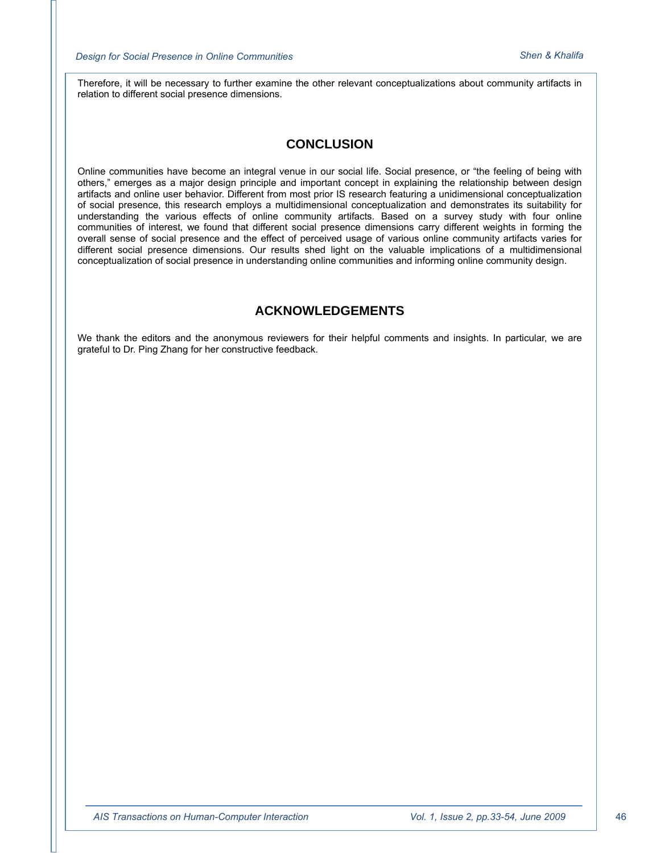Therefore, it will be necessary to further examine the other relevant conceptualizations about community artifacts in relation to different social presence dimensions.

## **CONCLUSION**

Online communities have become an integral venue in our social life. Social presence, or "the feeling of being with others," emerges as a major design principle and important concept in explaining the relationship between design artifacts and online user behavior. Different from most prior IS research featuring a unidimensional conceptualization of social presence, this research employs a multidimensional conceptualization and demonstrates its suitability for understanding the various effects of online community artifacts. Based on a survey study with four online communities of interest, we found that different social presence dimensions carry different weights in forming the overall sense of social presence and the effect of perceived usage of various online community artifacts varies for different social presence dimensions. Our results shed light on the valuable implications of a multidimensional conceptualization of social presence in understanding online communities and informing online community design.

## **ACKNOWLEDGEMENTS**

We thank the editors and the anonymous reviewers for their helpful comments and insights. In particular, we are grateful to Dr. Ping Zhang for her constructive feedback.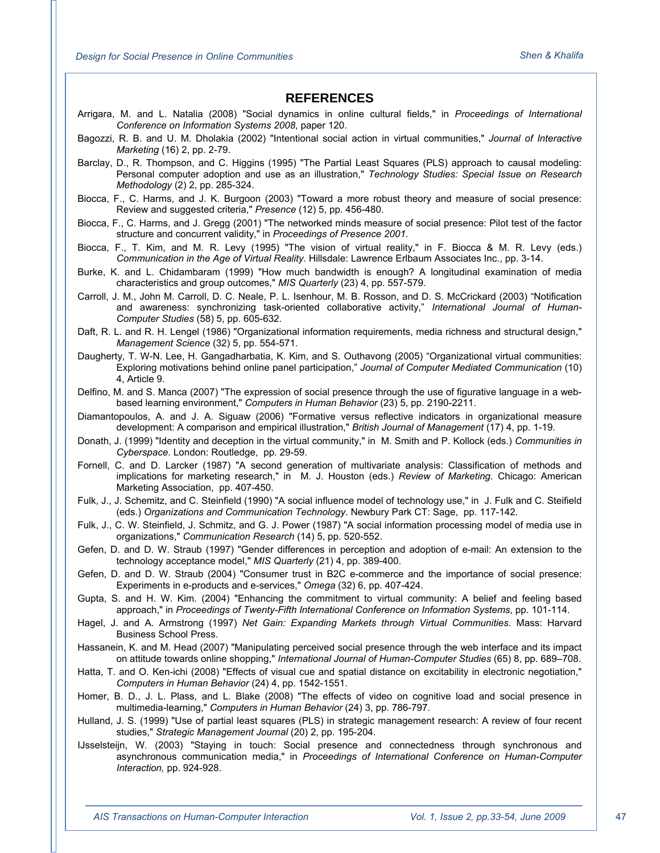#### **REFERENCES**

- Arrigara, M. and L. Natalia (2008) "Social dynamics in online cultural fields," in *Proceedings of International Conference on Information Systems 2008*, paper 120.
- Bagozzi, R. B. and U. M. Dholakia (2002) "Intentional social action in virtual communities," *Journal of Interactive Marketing* (16) 2, pp. 2-79.
- Barclay, D., R. Thompson, and C. Higgins (1995) "The Partial Least Squares (PLS) approach to causal modeling: Personal computer adoption and use as an illustration," *Technology Studies: Special Issue on Research Methodology* (2) 2, pp. 285-324.
- Biocca, F., C. Harms, and J. K. Burgoon (2003) "Toward a more robust theory and measure of social presence: Review and suggested criteria," *Presence* (12) 5, pp. 456-480.
- Biocca, F., C. Harms, and J. Gregg (2001) "The networked minds measure of social presence: Pilot test of the factor structure and concurrent validity," in *Proceedings of Presence 2001*.
- Biocca, F., T. Kim, and M. R. Levy (1995) "The vision of virtual reality," in F. Biocca & M. R. Levy (eds.) *Communication in the Age of Virtual Reality*. Hillsdale: Lawrence Erlbaum Associates Inc., pp. 3-14.
- Burke, K. and L. Chidambaram (1999) "How much bandwidth is enough? A longitudinal examination of media characteristics and group outcomes," *MIS Quarterly* (23) 4, pp. 557-579.
- Carroll, J. M., John M. Carroll, D. C. Neale, P. L. Isenhour, M. B. Rosson, and D. S. McCrickard (2003) "Notification and awareness: synchronizing task-oriented collaborative activity," *International Journal of Human-Computer Studies* (58) 5, pp. 605-632.
- Daft, R. L. and R. H. Lengel (1986) "Organizational information requirements, media richness and structural design," *Management Science* (32) 5, pp. 554-571.
- Daugherty, T. W-N. Lee, H. Gangadharbatia, K. Kim, and S. Outhavong (2005) "Organizational virtual communities: Exploring motivations behind online panel participation," *Journal of Computer Mediated Communication* (10) 4, Article 9.
- Delfino, M. and S. Manca (2007) "The expression of social presence through the use of figurative language in a webbased learning environment," *Computers in Human Behavior* (23) 5, pp. 2190-2211.
- Diamantopoulos, A. and J. A. Siguaw (2006) "Formative versus reflective indicators in organizational measure development: A comparison and empirical illustration," *British Journal of Management* (17) 4, pp. 1-19.
- Donath, J. (1999) "Identity and deception in the virtual community," in M. Smith and P. Kollock (eds.) *Communities in Cyberspace*. London: Routledge, pp. 29-59.
- Fornell, C. and D. Larcker (1987) "A second generation of multivariate analysis: Classification of methods and implications for marketing research," in M. J. Houston (eds.) *Review of Marketing*. Chicago: American Marketing Association, pp. 407-450.
- Fulk, J., J. Schemitz, and C. Steinfield (1990) "A social influence model of technology use," in J. Fulk and C. Steifield (eds.) *Organizations and Communication Technology*. Newbury Park CT: Sage, pp. 117-142.
- Fulk, J., C. W. Steinfield, J. Schmitz, and G. J. Power (1987) "A social information processing model of media use in organizations," *Communication Research* (14) 5, pp. 520-552.
- Gefen, D. and D. W. Straub (1997) "Gender differences in perception and adoption of e-mail: An extension to the technology acceptance model," *MIS Quarterly* (21) 4, pp. 389-400.
- Gefen, D. and D. W. Straub (2004) "Consumer trust in B2C e-commerce and the importance of social presence: Experiments in e-products and e-services," *Omega* (32) 6, pp. 407-424.
- Gupta, S. and H. W. Kim. (2004) "Enhancing the commitment to virtual community: A belief and feeling based approach," in *Proceedings of Twenty-Fifth International Conference on Information Systems*, pp. 101-114.
- Hagel, J. and A. Armstrong (1997) *Net Gain: Expanding Markets through Virtual Communities*. Mass: Harvard Business School Press.
- Hassanein, K. and M. Head (2007) "Manipulating perceived social presence through the web interface and its impact on attitude towards online shopping," *International Journal of Human-Computer Studies* (65) 8, pp. 689–708.
- Hatta, T. and O. Ken-ichi (2008) "Effects of visual cue and spatial distance on excitability in electronic negotiation," *Computers in Human Behavior* (24) 4, pp. 1542-1551.
- Homer, B. D., J. L. Plass, and L. Blake (2008) "The effects of video on cognitive load and social presence in multimedia-learning," *Computers in Human Behavior* (24) 3, pp. 786-797.
- Hulland, J. S. (1999) "Use of partial least squares (PLS) in strategic management research: A review of four recent studies," *Strategic Management Journal* (20) 2, pp. 195-204.
- IJsselsteijn, W. (2003) "Staying in touch: Social presence and connectedness through synchronous and asynchronous communication media," in *Proceedings of International Conference on Human-Computer Interaction,* pp. 924-928.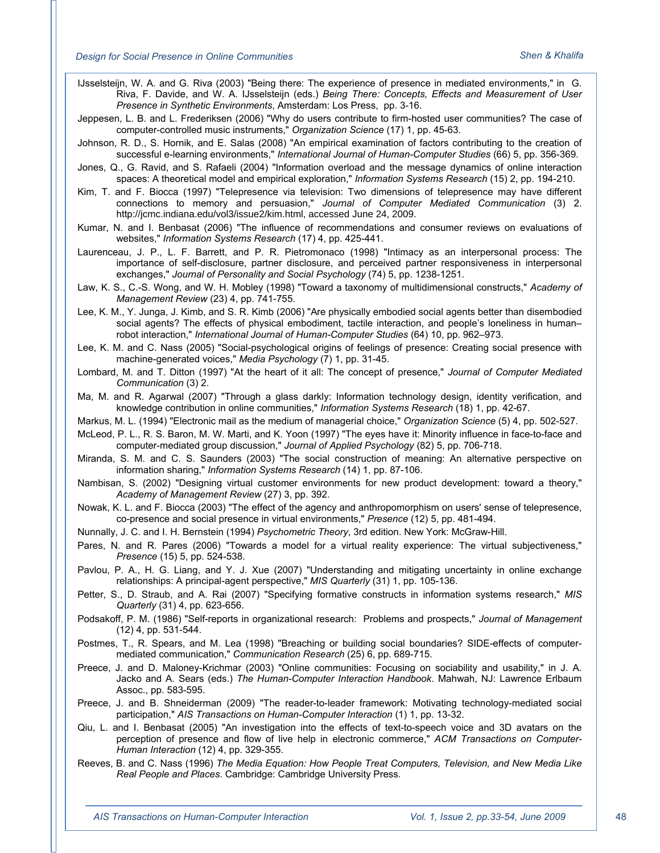IJsselsteijn, W. A. and G. Riva (2003) "Being there: The experience of presence in mediated environments," in G. Riva, F. Davide, and W. A. IJsselsteijn (eds.) *Being There: Concepts, Effects and Measurement of User Presence in Synthetic Environments*, Amsterdam: Los Press, pp. 3-16.

- Jeppesen, L. B. and L. Frederiksen (2006) "Why do users contribute to firm-hosted user communities? The case of computer-controlled music instruments," *Organization Science* (17) 1, pp. 45-63.
- Johnson, R. D., S. Hornik, and E. Salas (2008) "An empirical examination of factors contributing to the creation of successful e-learning environments," *International Journal of Human-Computer Studies* (66) 5, pp. 356-369.
- Jones, Q., G. Ravid, and S. Rafaeli (2004) "Information overload and the message dynamics of online interaction spaces: A theoretical model and empirical exploration," *Information Systems Research* (15) 2, pp. 194-210.
- Kim, T. and F. Biocca (1997) "Telepresence via television: Two dimensions of telepresence may have different connections to memory and persuasion," *Journal of Computer Mediated Communication* (3) 2. http://jcmc.indiana.edu/vol3/issue2/kim.html, accessed June 24, 2009.
- Kumar, N. and I. Benbasat (2006) "The influence of recommendations and consumer reviews on evaluations of websites," *Information Systems Research* (17) 4, pp. 425-441.
- Laurenceau, J. P., L. F. Barrett, and P. R. Pietromonaco (1998) "Intimacy as an interpersonal process: The importance of self-disclosure, partner disclosure, and perceived partner responsiveness in interpersonal exchanges," *Journal of Personality and Social Psychology* (74) 5, pp. 1238-1251.
- Law, K. S., C.-S. Wong, and W. H. Mobley (1998) "Toward a taxonomy of multidimensional constructs," *Academy of Management Review* (23) 4, pp. 741-755.
- Lee, K. M., Y. Junga, J. Kimb, and S. R. Kimb (2006) "Are physically embodied social agents better than disembodied social agents? The effects of physical embodiment, tactile interaction, and people's loneliness in human– robot interaction," *International Journal of Human-Computer Studies* (64) 10, pp. 962–973.
- Lee, K. M. and C. Nass (2005) "Social-psychological origins of feelings of presence: Creating social presence with machine-generated voices," *Media Psychology* (7) 1, pp. 31-45.
- Lombard, M. and T. Ditton (1997) "At the heart of it all: The concept of presence," *Journal of Computer Mediated Communication* (3) 2.
- Ma, M. and R. Agarwal (2007) "Through a glass darkly: Information technology design, identity verification, and knowledge contribution in online communities," *Information Systems Research* (18) 1, pp. 42-67.
- Markus, M. L. (1994) "Electronic mail as the medium of managerial choice," *Organization Science* (5) 4, pp. 502-527.
- McLeod, P. L., R. S. Baron, M. W. Marti, and K. Yoon (1997) "The eyes have it: Minority influence in face-to-face and computer-mediated group discussion," *Journal of Applied Psychology* (82) 5, pp. 706-718.
- Miranda, S. M. and C. S. Saunders (2003) "The social construction of meaning: An alternative perspective on information sharing," *Information Systems Research* (14) 1, pp. 87-106.
- Nambisan, S. (2002) "Designing virtual customer environments for new product development: toward a theory," *Academy of Management Review* (27) 3, pp. 392.
- Nowak, K. L. and F. Biocca (2003) "The effect of the agency and anthropomorphism on users' sense of telepresence, co-presence and social presence in virtual environments," *Presence* (12) 5, pp. 481-494.
- Nunnally, J. C. and I. H. Bernstein (1994) *Psychometric Theory*, 3rd edition. New York: McGraw-Hill.
- Pares, N. and R. Pares (2006) "Towards a model for a virtual reality experience: The virtual subjectiveness," *Presence* (15) 5, pp. 524-538.
- Pavlou, P. A., H. G. Liang, and Y. J. Xue (2007) "Understanding and mitigating uncertainty in online exchange relationships: A principal-agent perspective," *MIS Quarterly* (31) 1, pp. 105-136.
- Petter, S., D. Straub, and A. Rai (2007) "Specifying formative constructs in information systems research," *MIS Quarterly* (31) 4, pp. 623-656.
- Podsakoff, P. M. (1986) "Self-reports in organizational research: Problems and prospects," *Journal of Management* (12) 4, pp. 531-544.
- Postmes, T., R. Spears, and M. Lea (1998) "Breaching or building social boundaries? SIDE-effects of computermediated communication," *Communication Research* (25) 6, pp. 689-715.
- Preece, J. and D. Maloney-Krichmar (2003) "Online communities: Focusing on sociability and usability," in J. A. Jacko and A. Sears (eds.) *The Human-Computer Interaction Handbook*. Mahwah, NJ: Lawrence Erlbaum Assoc., pp. 583-595.
- Preece, J. and B. Shneiderman (2009) "The reader-to-leader framework: Motivating technology-mediated social participation," *AIS Transactions on Human-Computer Interaction* (1) 1, pp. 13-32.
- Qiu, L. and I. Benbasat (2005) "An investigation into the effects of text-to-speech voice and 3D avatars on the perception of presence and flow of live help in electronic commerce," *ACM Transactions on Computer-Human Interaction* (12) 4, pp. 329-355.
- Reeves, B. and C. Nass (1996) *The Media Equation: How People Treat Computers, Television, and New Media Like Real People and Places*. Cambridge: Cambridge University Press.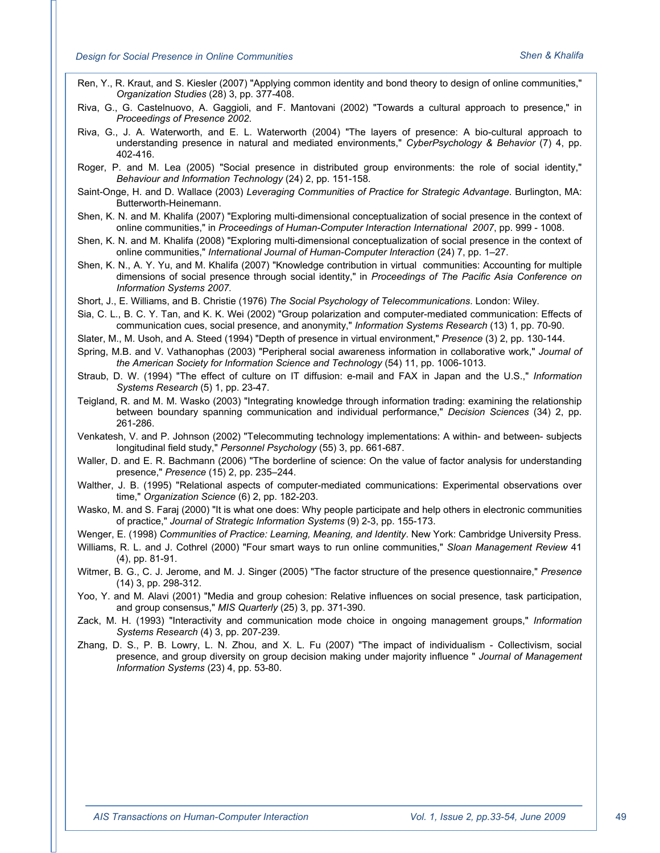- Ren, Y., R. Kraut, and S. Kiesler (2007) "Applying common identity and bond theory to design of online communities," *Organization Studies* (28) 3, pp. 377-408.
- Riva, G., G. Castelnuovo, A. Gaggioli, and F. Mantovani (2002) "Towards a cultural approach to presence," in *Proceedings of Presence 2002*.
- Riva, G., J. A. Waterworth, and E. L. Waterworth (2004) "The layers of presence: A bio-cultural approach to understanding presence in natural and mediated environments," *CyberPsychology & Behavior* (7) 4, pp. 402-416.
- Roger, P. and M. Lea (2005) "Social presence in distributed group environments: the role of social identity," *Behaviour and Information Technology* (24) 2, pp. 151-158.
- Saint-Onge, H. and D. Wallace (2003) *Leveraging Communities of Practice for Strategic Advantage*. Burlington, MA: Butterworth-Heinemann.
- Shen, K. N. and M. Khalifa (2007) "Exploring multi-dimensional conceptualization of social presence in the context of online communities," in *Proceedings of Human-Computer Interaction International 2007*, pp. 999 - 1008.
- Shen, K. N. and M. Khalifa (2008) "Exploring multi-dimensional conceptualization of social presence in the context of online communities," *International Journal of Human-Computer Interaction* (24) 7, pp. 1–27.
- Shen, K. N., A. Y. Yu, and M. Khalifa (2007) "Knowledge contribution in virtual communities: Accounting for multiple dimensions of social presence through social identity," in *Proceedings of The Pacific Asia Conference on Information Systems 2007.*
- Short, J., E. Williams, and B. Christie (1976) *The Social Psychology of Telecommunications*. London: Wiley.
- Sia, C. L., B. C. Y. Tan, and K. K. Wei (2002) "Group polarization and computer-mediated communication: Effects of communication cues, social presence, and anonymity," *Information Systems Research* (13) 1, pp. 70-90.
- Slater, M., M. Usoh, and A. Steed (1994) "Depth of presence in virtual environment," *Presence* (3) 2, pp. 130-144.
- Spring, M.B. and V. Vathanophas (2003) "Peripheral social awareness information in collaborative work," *Journal of the American Society for Information Science and Technology* (54) 11, pp. 1006-1013.
- Straub, D. W. (1994) "The effect of culture on IT diffusion: e-mail and FAX in Japan and the U.S.," *Information Systems Research* (5) 1, pp. 23-47.
- Teigland, R. and M. M. Wasko (2003) "Integrating knowledge through information trading: examining the relationship between boundary spanning communication and individual performance," *Decision Sciences* (34) 2, pp. 261-286.
- Venkatesh, V. and P. Johnson (2002) "Telecommuting technology implementations: A within- and between- subjects longitudinal field study," *Personnel Psychology* (55) 3, pp. 661-687.
- Waller, D. and E. R. Bachmann (2006) "The borderline of science: On the value of factor analysis for understanding presence," *Presence* (15) 2, pp. 235–244.
- Walther, J. B. (1995) "Relational aspects of computer-mediated communications: Experimental observations over time," *Organization Science* (6) 2, pp. 182-203.
- Wasko, M. and S. Faraj (2000) "It is what one does: Why people participate and help others in electronic communities of practice," *Journal of Strategic Information Systems* (9) 2-3, pp. 155-173.
- Wenger, E. (1998) *Communities of Practice: Learning, Meaning, and Identity*. New York: Cambridge University Press.
- Williams, R. L. and J. Cothrel (2000) "Four smart ways to run online communities," *Sloan Management Review* 41 (4), pp. 81-91.
- Witmer, B. G., C. J. Jerome, and M. J. Singer (2005) "The factor structure of the presence questionnaire," *Presence* (14) 3, pp. 298-312.
- Yoo, Y. and M. Alavi (2001) "Media and group cohesion: Relative influences on social presence, task participation, and group consensus," *MIS Quarterly* (25) 3, pp. 371-390.
- Zack, M. H. (1993) "Interactivity and communication mode choice in ongoing management groups," *Information Systems Research* (4) 3, pp. 207-239.
- Zhang, D. S., P. B. Lowry, L. N. Zhou, and X. L. Fu (2007) "The impact of individualism Collectivism, social presence, and group diversity on group decision making under majority influence " *Journal of Management Information Systems* (23) 4, pp. 53-80.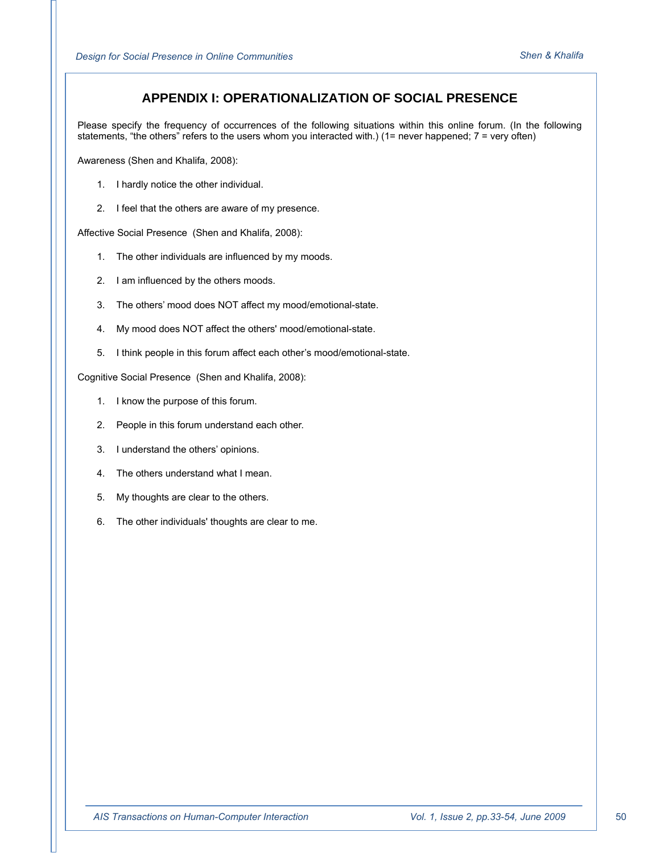## **APPENDIX I: OPERATIONALIZATION OF SOCIAL PRESENCE**

Please specify the frequency of occurrences of the following situations within this online forum. (In the following statements, "the others" refers to the users whom you interacted with.) (1= never happened; 7 = very often)

Awareness (Shen and Khalifa, 2008):

- 1. I hardly notice the other individual.
- 2. I feel that the others are aware of my presence.

Affective Social Presence (Shen and Khalifa, 2008):

- 1. The other individuals are influenced by my moods.
- 2. I am influenced by the others moods.
- 3. The others' mood does NOT affect my mood/emotional-state.
- 4. My mood does NOT affect the others' mood/emotional-state.
- 5. I think people in this forum affect each other's mood/emotional-state.

Cognitive Social Presence (Shen and Khalifa, 2008):

- 1. I know the purpose of this forum.
- 2. People in this forum understand each other.
- 3. I understand the others' opinions.
- 4. The others understand what I mean.
- 5. My thoughts are clear to the others.
- 6. The other individuals' thoughts are clear to me.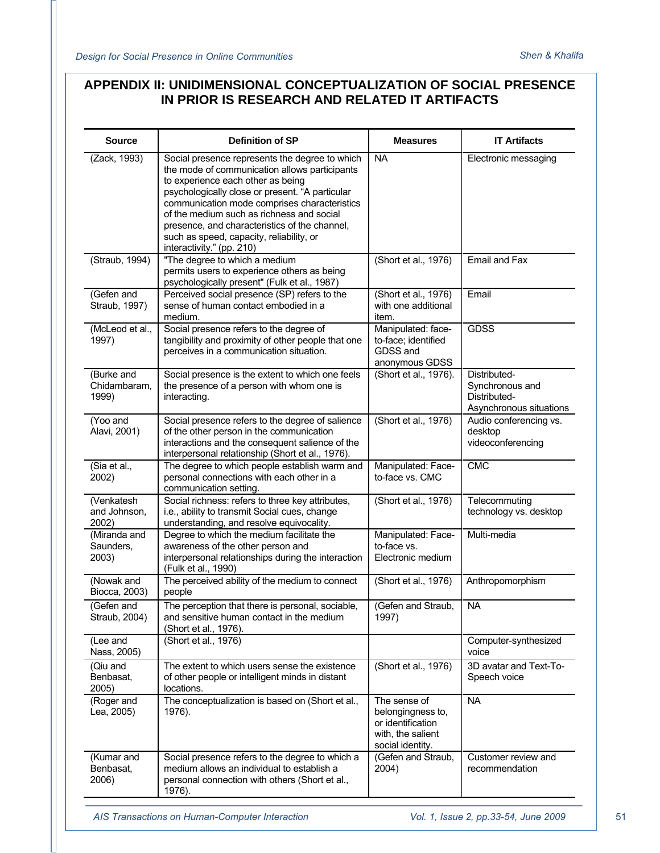## **APPENDIX II: UNIDIMENSIONAL CONCEPTUALIZATION OF SOCIAL PRESENCE IN PRIOR IS RESEARCH AND RELATED IT ARTIFACTS**

| <b>Source</b>                       | <b>Definition of SP</b>                                                                                                                                                                                                                                                                                                                                                                                        | <b>Measures</b>                                                                                 | <b>IT Artifacts</b>                                                        |
|-------------------------------------|----------------------------------------------------------------------------------------------------------------------------------------------------------------------------------------------------------------------------------------------------------------------------------------------------------------------------------------------------------------------------------------------------------------|-------------------------------------------------------------------------------------------------|----------------------------------------------------------------------------|
| (Zack, 1993)                        | Social presence represents the degree to which<br>the mode of communication allows participants<br>to experience each other as being<br>psychologically close or present. "A particular<br>communication mode comprises characteristics<br>of the medium such as richness and social<br>presence, and characteristics of the channel,<br>such as speed, capacity, reliability, or<br>interactivity." (pp. 210) | <b>NA</b>                                                                                       | Electronic messaging                                                       |
| (Straub, 1994)                      | "The degree to which a medium<br>permits users to experience others as being<br>psychologically present" (Fulk et al., 1987)                                                                                                                                                                                                                                                                                   | (Short et al., 1976)                                                                            | Email and Fax                                                              |
| (Gefen and<br>Straub, 1997)         | Perceived social presence (SP) refers to the<br>sense of human contact embodied in a<br>medium.                                                                                                                                                                                                                                                                                                                | (Short et al., 1976)<br>with one additional<br>item.                                            | Email                                                                      |
| (McLeod et al.,<br>1997)            | Social presence refers to the degree of<br>tangibility and proximity of other people that one<br>perceives in a communication situation.                                                                                                                                                                                                                                                                       | Manipulated: face-<br>to-face; identified<br>GDSS and<br>anonymous GDSS                         | <b>GDSS</b>                                                                |
| (Burke and<br>Chidambaram.<br>1999) | Social presence is the extent to which one feels<br>the presence of a person with whom one is<br>interacting.                                                                                                                                                                                                                                                                                                  | (Short et al., 1976).                                                                           | Distributed-<br>Synchronous and<br>Distributed-<br>Asynchronous situations |
| (Yoo and<br>Alavi, 2001)            | Social presence refers to the degree of salience<br>of the other person in the communication<br>interactions and the consequent salience of the<br>interpersonal relationship (Short et al., 1976).                                                                                                                                                                                                            | (Short et al., 1976)                                                                            | Audio conferencing vs.<br>desktop<br>videoconferencing                     |
| (Sia et al.,<br>2002)               | The degree to which people establish warm and<br>personal connections with each other in a<br>communication setting.                                                                                                                                                                                                                                                                                           | Manipulated: Face-<br>to-face vs. CMC                                                           | <b>CMC</b>                                                                 |
| (Venkatesh<br>and Johnson,<br>2002) | Social richness: refers to three key attributes,<br>i.e., ability to transmit Social cues, change<br>understanding, and resolve equivocality.                                                                                                                                                                                                                                                                  | (Short et al., 1976)                                                                            | Telecommuting<br>technology vs. desktop                                    |
| (Miranda and<br>Saunders.<br>2003)  | Degree to which the medium facilitate the<br>awareness of the other person and<br>interpersonal relationships during the interaction<br>(Fulk et al., 1990)                                                                                                                                                                                                                                                    | Manipulated: Face-<br>to-face vs.<br>Electronic medium                                          | Multi-media                                                                |
| (Nowak and<br>Biocca, 2003)         | The perceived ability of the medium to connect<br>people                                                                                                                                                                                                                                                                                                                                                       | (Short et al., 1976)                                                                            | Anthropomorphism                                                           |
| (Gefen and<br>Straub, 2004)         | The perception that there is personal, sociable,<br>and sensitive human contact in the medium<br>(Short et al., 1976).                                                                                                                                                                                                                                                                                         | (Gefen and Straub.<br>1997)                                                                     | <b>NA</b>                                                                  |
| (Lee and<br>Nass, 2005)             | (Short et al., 1976)                                                                                                                                                                                                                                                                                                                                                                                           |                                                                                                 | Computer-synthesized<br>voice                                              |
| (Qiu and<br>Benbasat,<br>2005)      | The extent to which users sense the existence<br>of other people or intelligent minds in distant<br>locations.                                                                                                                                                                                                                                                                                                 | (Short et al., 1976)                                                                            | 3D avatar and Text-To-<br>Speech voice                                     |
| (Roger and<br>Lea, 2005)            | The conceptualization is based on (Short et al.,<br>1976).                                                                                                                                                                                                                                                                                                                                                     | The sense of<br>belongingness to,<br>or identification<br>with, the salient<br>social identity. | NA                                                                         |
| (Kumar and<br>Benbasat,<br>2006)    | Social presence refers to the degree to which a<br>medium allows an individual to establish a<br>personal connection with others (Short et al.,<br>1976).                                                                                                                                                                                                                                                      | (Gefen and Straub,<br>2004)                                                                     | Customer review and<br>recommendation                                      |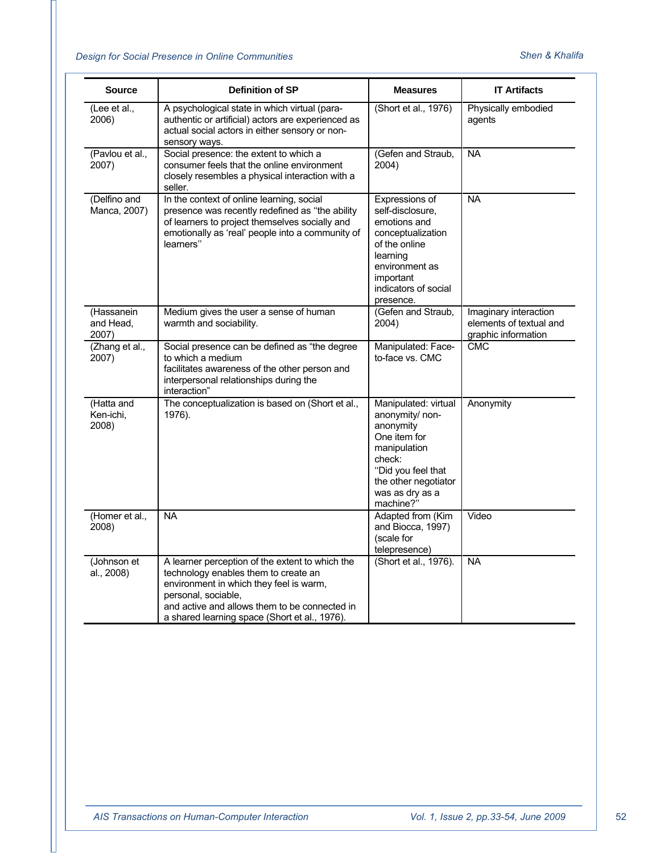| <b>Source</b>                    | Definition of SP                                                                                                                                                                                                                                            | <b>Measures</b>                                                                                                                                                              | <b>IT Artifacts</b>                                                     |
|----------------------------------|-------------------------------------------------------------------------------------------------------------------------------------------------------------------------------------------------------------------------------------------------------------|------------------------------------------------------------------------------------------------------------------------------------------------------------------------------|-------------------------------------------------------------------------|
| (Lee et al.,<br>2006)            | A psychological state in which virtual (para-<br>authentic or artificial) actors are experienced as<br>actual social actors in either sensory or non-<br>sensory ways.                                                                                      | (Short et al., 1976)                                                                                                                                                         | Physically embodied<br>agents                                           |
| (Pavlou et al.,<br>2007)         | Social presence: the extent to which a<br>consumer feels that the online environment<br>closely resembles a physical interaction with a<br>seller.                                                                                                          | (Gefen and Straub,<br>2004)                                                                                                                                                  | <b>NA</b>                                                               |
| (Delfino and<br>Manca, 2007)     | In the context of online learning, social<br>presence was recently redefined as "the ability<br>of learners to project themselves socially and<br>emotionally as 'real' people into a community of<br>learners"                                             | Expressions of<br>self-disclosure,<br>emotions and<br>conceptualization<br>of the online<br>learning<br>environment as<br>important<br>indicators of social<br>presence.     | <b>NA</b>                                                               |
| (Hassanein<br>and Head,<br>2007) | Medium gives the user a sense of human<br>warmth and sociability.                                                                                                                                                                                           | (Gefen and Straub,<br>2004)                                                                                                                                                  | Imaginary interaction<br>elements of textual and<br>graphic information |
| (Zhang et al.,<br>2007)          | Social presence can be defined as "the degree<br>to which a medium<br>facilitates awareness of the other person and<br>interpersonal relationships during the<br>interaction"                                                                               | Manipulated: Face-<br>to-face vs. CMC                                                                                                                                        | <b>CMC</b>                                                              |
| (Hatta and<br>Ken-ichi,<br>2008) | The conceptualization is based on (Short et al.,<br>1976).                                                                                                                                                                                                  | Manipulated: virtual<br>anonymity/ non-<br>anonymity<br>One item for<br>manipulation<br>check:<br>"Did you feel that<br>the other negotiator<br>was as dry as a<br>machine?" | Anonymity                                                               |
| (Homer et al.,<br>2008)          | <b>NA</b>                                                                                                                                                                                                                                                   | Adapted from (Kim<br>and Biocca, 1997)<br>(scale for<br>telepresence)                                                                                                        | Video                                                                   |
| (Johnson et<br>al., 2008)        | A learner perception of the extent to which the<br>technology enables them to create an<br>environment in which they feel is warm,<br>personal, sociable,<br>and active and allows them to be connected in<br>a shared learning space (Short et al., 1976). | (Short et al., 1976).                                                                                                                                                        | <b>NA</b>                                                               |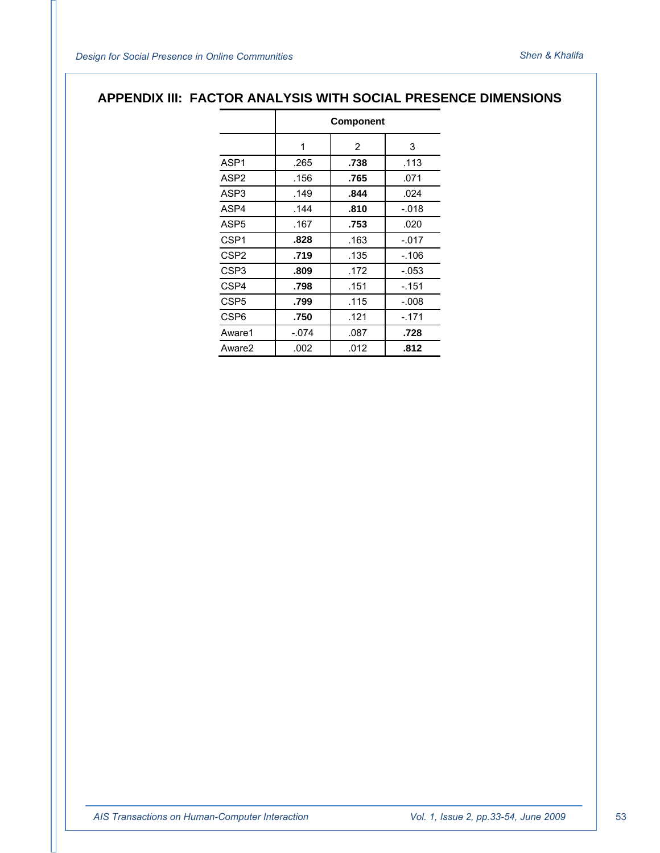## **APPENDIX III: FACTOR ANALYSIS WITH SOCIAL PRESENCE DIMENSIONS**

|                    | Component |      |         |
|--------------------|-----------|------|---------|
|                    | 1         | 2    | 3       |
| ASP <sub>1</sub>   | .265      | .738 | .113    |
| ASP <sub>2</sub>   | .156      | .765 | .071    |
| ASP3               | .149      | .844 | .024    |
| ASP4               | .144      | .810 | -.018   |
| ASP <sub>5</sub>   | .167      | .753 | .020    |
| CSP <sub>1</sub>   | .828      | .163 | $-.017$ |
| CSP <sub>2</sub>   | .719      | .135 | -.106   |
| CSP <sub>3</sub>   | .809      | .172 | $-.053$ |
| CSP4               | .798      | .151 | -.151   |
| CSP <sub>5</sub>   | .799      | .115 | -.008   |
| CSP <sub>6</sub>   | .750      | .121 | -.171   |
| Aware1             | $-.074$   | .087 | .728    |
| Aware <sub>2</sub> | .002      | .012 | .812    |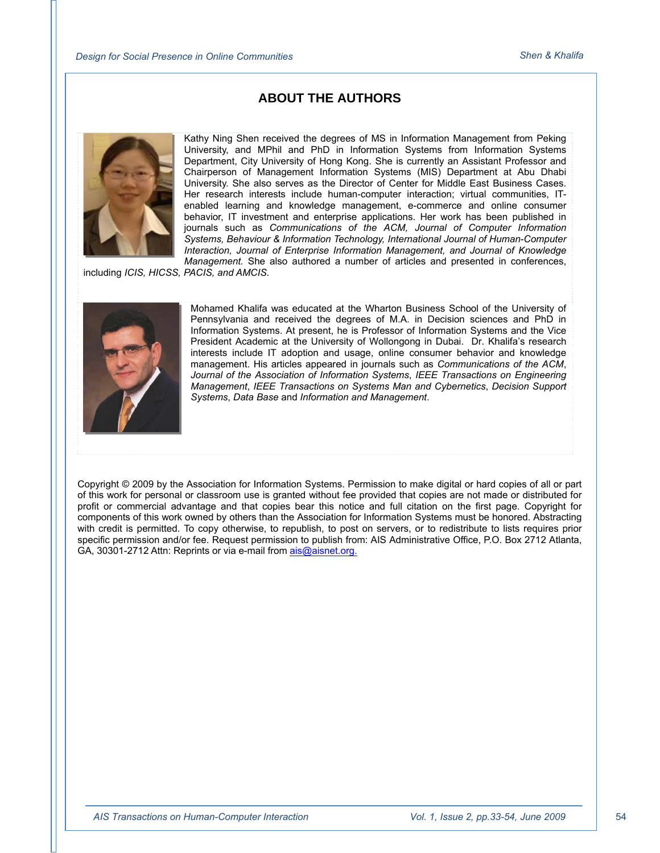## **ABOUT THE AUTHORS**



Kathy Ning Shen received the degrees of MS in Information Management from Peking University, and MPhil and PhD in Information Systems from Information Systems Department, City University of Hong Kong. She is currently an Assistant Professor and Chairperson of Management Information Systems (MIS) Department at Abu Dhabi University. She also serves as the Director of Center for Middle East Business Cases. Her research interests include human-computer interaction; virtual communities, ITenabled learning and knowledge management, e-commerce and online consumer behavior, IT investment and enterprise applications. Her work has been published in journals such as *Communications of the ACM, Journal of Computer Information Systems, Behaviour & Information Technology, International Journal of Human-Computer Interaction, Journal of Enterprise Information Management, and Journal of Knowledge Management.* She also authored a number of articles and presented in conferences,

including *ICIS, HICSS, PACIS, and AMCIS*.



Mohamed Khalifa was educated at the Wharton Business School of the University of Pennsylvania and received the degrees of M.A. in Decision sciences and PhD in Information Systems. At present, he is Professor of Information Systems and the Vice President Academic at the University of Wollongong in Dubai. Dr. Khalifa's research interests include IT adoption and usage, online consumer behavior and knowledge management. His articles appeared in journals such as *Communications of the ACM*, *Journal of the Association of Information Systems*, *IEEE Transactions on Engineering Management*, *IEEE Transactions on Systems Man and Cybernetics*, *Decision Support Systems*, *Data Base* and *Information and Management*.

Copyright © 2009 by the Association for Information Systems. Permission to make digital or hard copies of all or part of this work for personal or classroom use is granted without fee provided that copies are not made or distributed for profit or commercial advantage and that copies bear this notice and full citation on the first page. Copyright for components of this work owned by others than the Association for Information Systems must be honored. Abstracting with credit is permitted. To copy otherwise, to republish, to post on servers, or to redistribute to lists requires prior specific permission and/or fee. Request permission to publish from: AIS Administrative Office, P.O. Box 2712 Atlanta, GA, 30301-2712 Attn: Reprints or via e-mail from ais@aisnet.org.